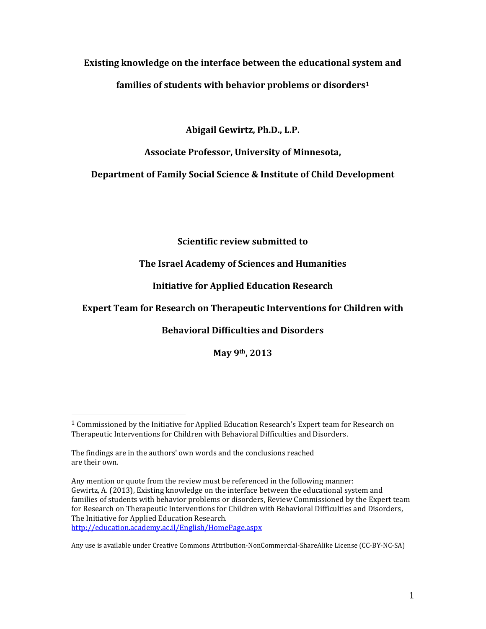#### **Existing knowledge on the interface between the educational system and**

**families of students with behavior problems or disorders<sup>1</sup>**

**Abigail Gewirtz, Ph.D., L.P.**

#### **Associate Professor, University of Minnesota,**

#### **Department of Family Social Science & Institute of Child Development**

**Scientific review submitted to**

# **The Israel Academy of Sciences and Humanities**

# **Initiative for Applied Education Research**

# **Expert Team for Research on Therapeutic Interventions for Children with**

# **Behavioral Difficulties and Disorders**

**May 9th, 2013**

 $\overline{\phantom{a}}$ 

 $1$  Commissioned by the Initiative for Applied Education Research's Expert team for Research on Therapeutic Interventions for Children with Behavioral Difficulties and Disorders.

The findings are in the authors' own words and the conclusions reached are their own.

Any mention or quote from the review must be referenced in the following manner: Gewirtz, A. (2013), Existing knowledge on the interface between the educational system and families of students with behavior problems or disorders, Review Commissioned by the Expert team for Research on Therapeutic Interventions for Children with Behavioral Difficulties and Disorders, The Initiative for Applied Education Research. <http://education.academy.ac.il/English/HomePage.aspx>

Any use is available under Creative Commons Attribution-NonCommercial-ShareAlike License (CC-BY-NC-SA)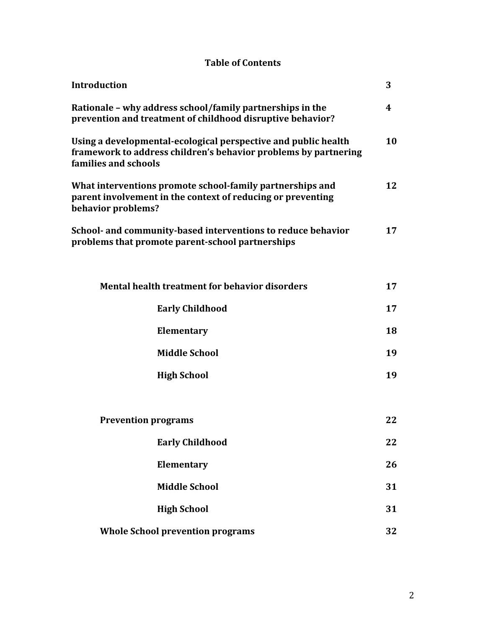# **Table of Contents**

| <b>Introduction</b>                                                                                                                                       | 3  |
|-----------------------------------------------------------------------------------------------------------------------------------------------------------|----|
| Rationale – why address school/family partnerships in the<br>prevention and treatment of childhood disruptive behavior?                                   | 4  |
| Using a developmental-ecological perspective and public health<br>framework to address children's behavior problems by partnering<br>families and schools | 10 |
| What interventions promote school-family partnerships and<br>parent involvement in the context of reducing or preventing<br>behavior problems?            | 12 |
| School- and community-based interventions to reduce behavior<br>problems that promote parent-school partnerships                                          | 17 |
| <b>Mental health treatment for behavior disorders</b>                                                                                                     | 17 |
| <b>Early Childhood</b>                                                                                                                                    | 17 |
| Elementary                                                                                                                                                | 18 |
| <b>Middle School</b>                                                                                                                                      | 19 |
| <b>High School</b>                                                                                                                                        | 19 |
| <b>Prevention programs</b>                                                                                                                                | 22 |
| <b>Early Childhood</b>                                                                                                                                    | 22 |
| Elementary                                                                                                                                                | 26 |
| <b>Middle School</b>                                                                                                                                      | 31 |
| <b>High School</b>                                                                                                                                        | 31 |
| <b>Whole School prevention programs</b>                                                                                                                   | 32 |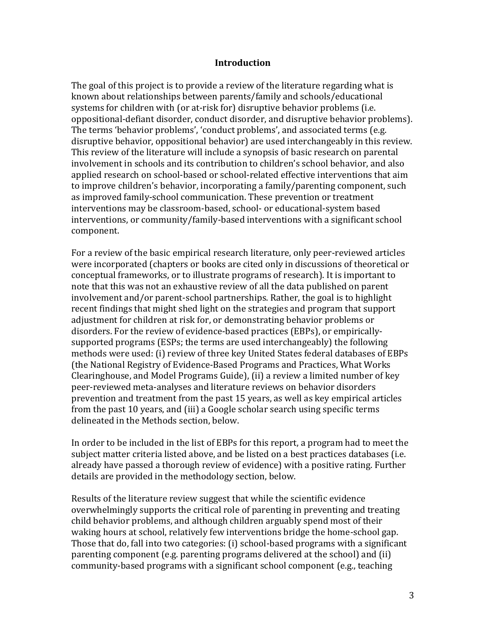#### **Introduction**

The goal of this project is to provide a review of the literature regarding what is known about relationships between parents/family and schools/educational systems for children with (or at-risk for) disruptive behavior problems (i.e. oppositional-defiant disorder, conduct disorder, and disruptive behavior problems). The terms 'behavior problems', 'conduct problems', and associated terms (e.g. disruptive behavior, oppositional behavior) are used interchangeably in this review. This review of the literature will include a synopsis of basic research on parental involvement in schools and its contribution to children's school behavior, and also applied research on school-based or school-related effective interventions that aim to improve children's behavior, incorporating a family/parenting component, such as improved family-school communication. These prevention or treatment interventions may be classroom-based, school- or educational-system based interventions, or community/family-based interventions with a significant school component.

For a review of the basic empirical research literature, only peer-reviewed articles were incorporated (chapters or books are cited only in discussions of theoretical or conceptual frameworks, or to illustrate programs of research). It is important to note that this was not an exhaustive review of all the data published on parent involvement and/or parent-school partnerships. Rather, the goal is to highlight recent findings that might shed light on the strategies and program that support adjustment for children at risk for, or demonstrating behavior problems or disorders. For the review of evidence-based practices (EBPs), or empiricallysupported programs (ESPs; the terms are used interchangeably) the following methods were used: (i) review of three key United States federal databases of EBPs (the National Registry of Evidence-Based Programs and Practices, What Works Clearinghouse, and Model Programs Guide), (ii) a review a limited number of key peer-reviewed meta-analyses and literature reviews on behavior disorders prevention and treatment from the past 15 years, as well as key empirical articles from the past 10 years, and (iii) a Google scholar search using specific terms delineated in the Methods section, below.

In order to be included in the list of EBPs for this report, a program had to meet the subject matter criteria listed above, and be listed on a best practices databases (i.e. already have passed a thorough review of evidence) with a positive rating. Further details are provided in the methodology section, below.

Results of the literature review suggest that while the scientific evidence overwhelmingly supports the critical role of parenting in preventing and treating child behavior problems, and although children arguably spend most of their waking hours at school, relatively few interventions bridge the home-school gap. Those that do, fall into two categories: (i) school-based programs with a significant parenting component (e.g. parenting programs delivered at the school) and (ii) community-based programs with a significant school component (e.g., teaching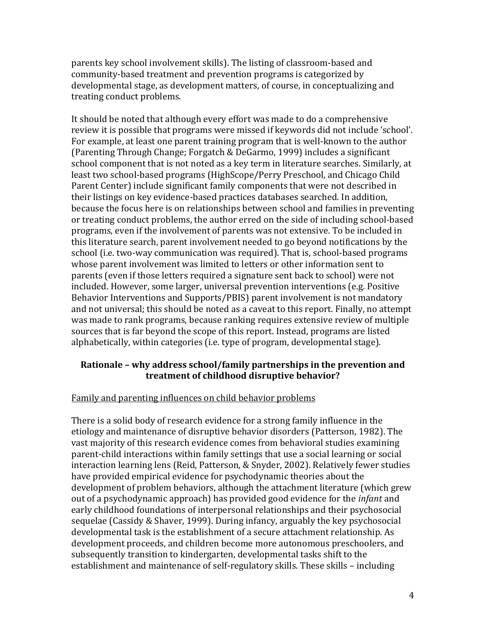parents key school involvement skills). The listing of classroom-based and community-based treatment and prevention programs is categorized by developmental stage, as development matters, of course, in conceptualizing and treating conduct problems.

It should be noted that although every effort was made to do a comprehensive review it is possible that programs were missed if keywords did not include 'school'. For example, at least one parent training program that is well-known to the author (Parenting Through Change; Forgatch & DeGarmo, 1999) includes a significant school component that is not noted as a key term in literature searches. Similarly, at least two school-based programs (HighScope/Perry Preschool, and Chicago Child Parent Center) include significant family components that were not described in their listings on key evidence-based practices databases searched. In addition, because the focus here is on relationships between school and families in preventing or treating conduct problems, the author erred on the side of including school-based programs, even if the involvement of parents was not extensive. To be included in this literature search, parent involvement needed to go beyond notifications by the school (i.e. two-way communication was required). That is, school-based programs whose parent involvement was limited to letters or other information sent to parents (even if those letters required a signature sent back to school) were not included. However, some larger, universal prevention interventions (e.g. Positive Behavior Interventions and Supports/PBIS) parent involvement is not mandatory and not universal; this should be noted as a caveat to this report. Finally, no attempt was made to rank programs, because ranking requires extensive review of multiple sources that is far beyond the scope of this report. Instead, programs are listed alphabetically, within categories (i.e. type of program, developmental stage).

#### **Rationale – why address school/family partnerships in the prevention and treatment of childhood disruptive behavior?**

#### Family and parenting influences on child behavior problems

There is a solid body of research evidence for a strong family influence in the etiology and maintenance of disruptive behavior disorders (Patterson, 1982). The vast majority of this research evidence comes from behavioral studies examining parent-child interactions within family settings that use a social learning or social interaction learning lens (Reid, Patterson, & Snyder, 2002). Relatively fewer studies have provided empirical evidence for psychodynamic theories about the development of problem behaviors, although the attachment literature (which grew out of a psychodynamic approach) has provided good evidence for the *infant* and early childhood foundations of interpersonal relationships and their psychosocial sequelae (Cassidy & Shaver, 1999). During infancy, arguably the key psychosocial developmental task is the establishment of a secure attachment relationship. As development proceeds, and children become more autonomous preschoolers, and subsequently transition to kindergarten, developmental tasks shift to the establishment and maintenance of self-regulatory skills. These skills – including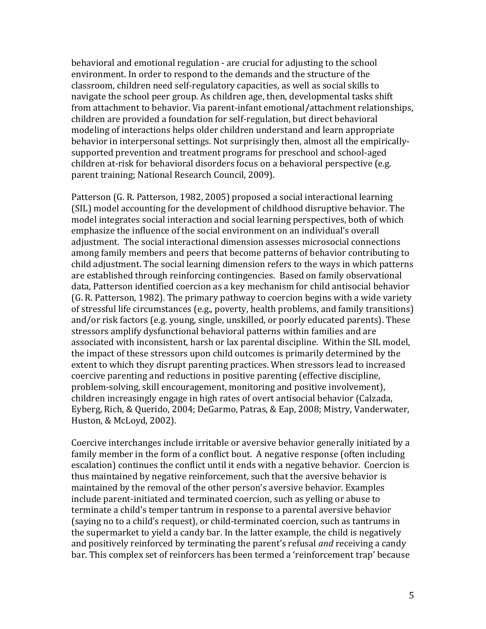behavioral and emotional regulation - are crucial for adjusting to the school environment. In order to respond to the demands and the structure of the classroom, children need self-regulatory capacities, as well as social skills to navigate the school peer group. As children age, then, developmental tasks shift from attachment to behavior. Via parent-infant emotional/attachment relationships, children are provided a foundation for self-regulation, but direct behavioral modeling of interactions helps older children understand and learn appropriate behavior in interpersonal settings. Not surprisingly then, almost all the empiricallysupported prevention and treatment programs for preschool and school-aged children at-risk for behavioral disorders focus on a behavioral perspective (e.g. parent training; National Research Council, 2009).

Patterson (G. R. Patterson, 1982, 2005) proposed a social interactional learning (SIL) model accounting for the development of childhood disruptive behavior. The model integrates social interaction and social learning perspectives, both of which emphasize the influence of the social environment on an individual's overall adjustment. The social interactional dimension assesses microsocial connections among family members and peers that become patterns of behavior contributing to child adjustment. The social learning dimension refers to the ways in which patterns are established through reinforcing contingencies. Based on family observational data, Patterson identified coercion as a key mechanism for child antisocial behavior (G. R. Patterson, 1982). The primary pathway to coercion begins with a wide variety of stressful life circumstances (e.g., poverty, health problems, and family transitions) and/or risk factors (e.g. young, single, unskilled, or poorly educated parents). These stressors amplify dysfunctional behavioral patterns within families and are associated with inconsistent, harsh or lax parental discipline. Within the SIL model, the impact of these stressors upon child outcomes is primarily determined by the extent to which they disrupt parenting practices. When stressors lead to increased coercive parenting and reductions in positive parenting (effective discipline, problem-solving, skill encouragement, monitoring and positive involvement), children increasingly engage in high rates of overt antisocial behavior (Calzada, Eyberg, Rich, & Querido, 2004; DeGarmo, Patras, & Eap, 2008; Mistry, Vanderwater, Huston, & McLoyd, 2002).

Coercive interchanges include irritable or aversive behavior generally initiated by a family member in the form of a conflict bout. A negative response (often including escalation) continues the conflict until it ends with a negative behavior. Coercion is thus maintained by negative reinforcement, such that the aversive behavior is maintained by the removal of the other person's aversive behavior. Examples include parent-initiated and terminated coercion, such as yelling or abuse to terminate a child's temper tantrum in response to a parental aversive behavior (saying no to a child's request), or child-terminated coercion, such as tantrums in the supermarket to yield a candy bar. In the latter example, the child is negatively and positively reinforced by terminating the parent's refusal *and* receiving a candy bar. This complex set of reinforcers has been termed a 'reinforcement trap' because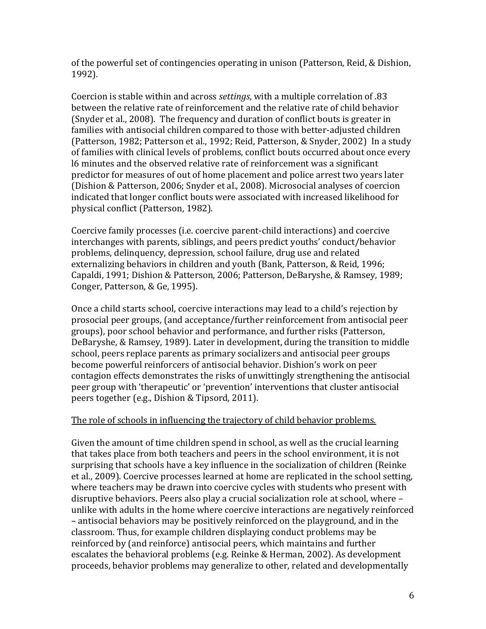of the powerful set of contingencies operating in unison (Patterson, Reid, & Dishion, 1992).

Coercion is stable within and across *settings*, with a multiple correlation of .83 between the relative rate of reinforcement and the relative rate of child behavior (Snyder et al., 2008). The frequency and duration of conflict bouts is greater in families with antisocial children compared to those with better-adjusted children (Patterson, 1982; Patterson et al., 1992; Reid, Patterson, & Snyder, 2002) In a study of families with clinical levels of problems, conflict bouts occurred about once every l6 minutes and the observed relative rate of reinforcement was a significant predictor for measures of out of home placement and police arrest two years later (Dishion & Patterson, 2006; Snyder et al., 2008). Microsocial analyses of coercion indicated that longer conflict bouts were associated with increased likelihood for physical conflict (Patterson, 1982).

Coercive family processes (i.e. coercive parent-child interactions) and coercive interchanges with parents, siblings, and peers predict youths' conduct/behavior problems, delinquency, depression, school failure, drug use and related externalizing behaviors in children and youth (Bank, Patterson, & Reid, 1996; Capaldi, 1991; Dishion & Patterson, 2006; Patterson, DeBaryshe, & Ramsey, 1989; Conger, Patterson, & Ge, 1995).

Once a child starts school, coercive interactions may lead to a child's rejection by prosocial peer groups, (and acceptance/further reinforcement from antisocial peer groups), poor school behavior and performance, and further risks (Patterson, DeBaryshe, & Ramsey, 1989). Later in development, during the transition to middle school, peers replace parents as primary socializers and antisocial peer groups become powerful reinforcers of antisocial behavior. Dishion's work on peer contagion effects demonstrates the risks of unwittingly strengthening the antisocial peer group with 'therapeutic' or 'prevention' interventions that cluster antisocial peers together (e.g., Dishion & Tipsord, 2011).

#### The role of schools in influencing the trajectory of child behavior problems.

Given the amount of time children spend in school, as well as the crucial learning that takes place from both teachers and peers in the school environment, it is not surprising that schools have a key influence in the socialization of children (Reinke et al., 2009). Coercive processes learned at home are replicated in the school setting, where teachers may be drawn into coercive cycles with students who present with disruptive behaviors. Peers also play a crucial socialization role at school, where – unlike with adults in the home where coercive interactions are negatively reinforced – antisocial behaviors may be positively reinforced on the playground, and in the classroom. Thus, for example children displaying conduct problems may be reinforced by (and reinforce) antisocial peers, which maintains and further escalates the behavioral problems (e.g. Reinke & Herman, 2002). As development proceeds, behavior problems may generalize to other, related and developmentally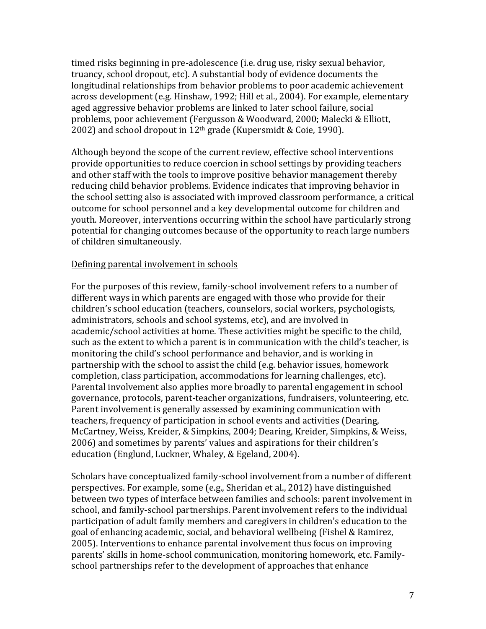timed risks beginning in pre-adolescence (i.e. drug use, risky sexual behavior, truancy, school dropout, etc). A substantial body of evidence documents the longitudinal relationships from behavior problems to poor academic achievement across development (e.g. Hinshaw, 1992; Hill et al., 2004). For example, elementary aged aggressive behavior problems are linked to later school failure, social problems, poor achievement (Fergusson & Woodward, 2000; Malecki & Elliott, 2002) and school dropout in 12th grade (Kupersmidt & Coie, 1990).

Although beyond the scope of the current review, effective school interventions provide opportunities to reduce coercion in school settings by providing teachers and other staff with the tools to improve positive behavior management thereby reducing child behavior problems. Evidence indicates that improving behavior in the school setting also is associated with improved classroom performance, a critical outcome for school personnel and a key developmental outcome for children and youth. Moreover, interventions occurring within the school have particularly strong potential for changing outcomes because of the opportunity to reach large numbers of children simultaneously.

#### Defining parental involvement in schools

For the purposes of this review, family-school involvement refers to a number of different ways in which parents are engaged with those who provide for their children's school education (teachers, counselors, social workers, psychologists, administrators, schools and school systems, etc), and are involved in academic/school activities at home. These activities might be specific to the child, such as the extent to which a parent is in communication with the child's teacher, is monitoring the child's school performance and behavior, and is working in partnership with the school to assist the child (e.g. behavior issues, homework completion, class participation, accommodations for learning challenges, etc). Parental involvement also applies more broadly to parental engagement in school governance, protocols, parent-teacher organizations, fundraisers, volunteering, etc. Parent involvement is generally assessed by examining communication with teachers, frequency of participation in school events and activities (Dearing, McCartney, Weiss, Kreider, & Simpkins, 2004; Dearing, Kreider, Simpkins, & Weiss, 2006) and sometimes by parents' values and aspirations for their children's education (Englund, Luckner, Whaley, & Egeland, 2004).

Scholars have conceptualized family-school involvement from a number of different perspectives. For example, some (e.g., Sheridan et al., 2012) have distinguished between two types of interface between families and schools: parent involvement in school, and family-school partnerships. Parent involvement refers to the individual participation of adult family members and caregivers in children's education to the goal of enhancing academic, social, and behavioral wellbeing (Fishel & Ramirez, 2005). Interventions to enhance parental involvement thus focus on improving parents' skills in home-school communication, monitoring homework, etc. Familyschool partnerships refer to the development of approaches that enhance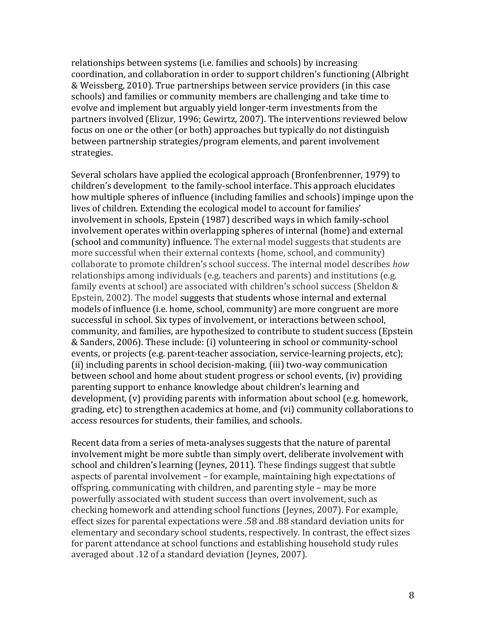relationships between systems (i.e. families and schools) by increasing coordination, and collaboration in order to support children's functioning (Albright & Weissberg, 2010). True partnerships between service providers (in this case schools) and families or community members are challenging and take time to evolve and implement but arguably yield longer-term investments from the partners involved (Elizur, 1996; Gewirtz, 2007). The interventions reviewed below focus on one or the other (or both) approaches but typically do not distinguish between partnership strategies/program elements, and parent involvement strategies.

Several scholars have applied the ecological approach (Bronfenbrenner, 1979) to children's development to the family-school interface. This approach elucidates how multiple spheres of influence (including families and schools) impinge upon the lives of children. Extending the ecological model to account for families' involvement in schools, Epstein (1987) described ways in which family-school involvement operates within overlapping spheres of internal (home) and external (school and community) influence. The external model suggests that students are more successful when their external contexts (home, school, and community) collaborate to promote children's school success. The internal model describes *how* relationships among individuals (e.g. teachers and parents) and institutions (e.g. family events at school) are associated with children's school success (Sheldon & Epstein, 2002). The model suggests that students whose internal and external models of influence (i.e. home, school, community) are more congruent are more successful in school. Six types of involvement, or interactions between school, community, and families, are hypothesized to contribute to student success (Epstein & Sanders, 2006). These include: (i) volunteering in school or community-school events, or projects (e.g. parent-teacher association, service-learning projects, etc); (ii) including parents in school decision-making, (iii) two-way communication between school and home about student progress or school events, (iv) providing parenting support to enhance knowledge about children's learning and development, (v) providing parents with information about school (e.g. homework, grading, etc) to strengthen academics at home, and (vi) community collaborations to access resources for students, their families, and schools.

Recent data from a series of meta-analyses suggests that the nature of parental involvement might be more subtle than simply overt, deliberate involvement with school and children's learning (Jeynes, 2011). These findings suggest that subtle aspects of parental involvement – for example, maintaining high expectations of offspring, communicating with children, and parenting style – may be more powerfully associated with student success than overt involvement, such as checking homework and attending school functions (Jeynes, 2007). For example, effect sizes for parental expectations were .58 and .88 standard deviation units for elementary and secondary school students, respectively. In contrast, the effect sizes for parent attendance at school functions and establishing household study rules averaged about .12 of a standard deviation (Jeynes, 2007).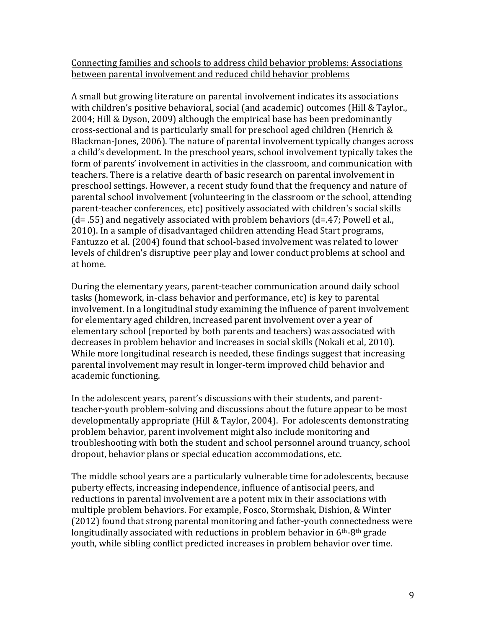Connecting families and schools to address child behavior problems: Associations between parental involvement and reduced child behavior problems

A small but growing literature on parental involvement indicates its associations with children's positive behavioral, social (and academic) outcomes (Hill & Taylor., 2004; Hill & Dyson, 2009) although the empirical base has been predominantly cross-sectional and is particularly small for preschool aged children (Henrich & Blackman-Jones, 2006). The nature of parental involvement typically changes across a child's development. In the preschool years, school involvement typically takes the form of parents' involvement in activities in the classroom, and communication with teachers. There is a relative dearth of basic research on parental involvement in preschool settings. However, a recent study found that the frequency and nature of parental school involvement (volunteering in the classroom or the school, attending parent-teacher conferences, etc) positively associated with children's social skills  $(d= .55)$  and negatively associated with problem behaviors  $(d= .47;$  Powell et al., 2010). In a sample of disadvantaged children attending Head Start programs, Fantuzzo et al. (2004) found that school-based involvement was related to lower levels of children's disruptive peer play and lower conduct problems at school and at home.

During the elementary years, parent-teacher communication around daily school tasks (homework, in-class behavior and performance, etc) is key to parental involvement. In a longitudinal study examining the influence of parent involvement for elementary aged children, increased parent involvement over a year of elementary school (reported by both parents and teachers) was associated with decreases in problem behavior and increases in social skills (Nokali et al, 2010). While more longitudinal research is needed, these findings suggest that increasing parental involvement may result in longer-term improved child behavior and academic functioning.

In the adolescent years, parent's discussions with their students, and parentteacher-youth problem-solving and discussions about the future appear to be most developmentally appropriate (Hill & Taylor, 2004). For adolescents demonstrating problem behavior, parent involvement might also include monitoring and troubleshooting with both the student and school personnel around truancy, school dropout, behavior plans or special education accommodations, etc.

The middle school years are a particularly vulnerable time for adolescents, because puberty effects, increasing independence, influence of antisocial peers, and reductions in parental involvement are a potent mix in their associations with multiple problem behaviors. For example, Fosco, Stormshak, Dishion, & Winter (2012) found that strong parental monitoring and father-youth connectedness were longitudinally associated with reductions in problem behavior in  $6<sup>th</sup>$ -8<sup>th</sup> grade youth, while sibling conflict predicted increases in problem behavior over time.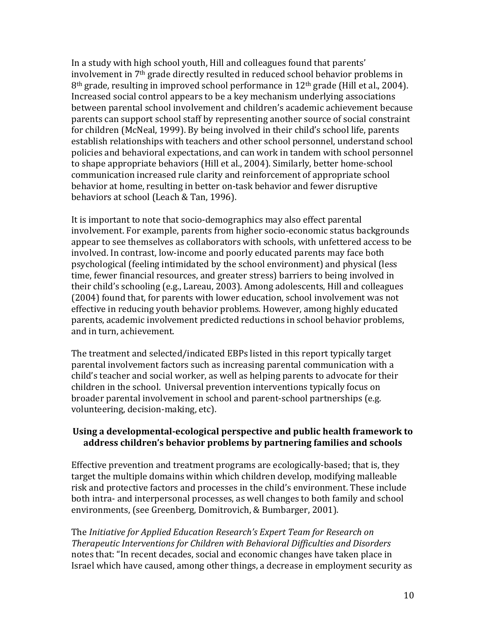In a study with high school youth, Hill and colleagues found that parents' involvement in 7th grade directly resulted in reduced school behavior problems in  $8<sup>th</sup>$  grade, resulting in improved school performance in  $12<sup>th</sup>$  grade (Hill et al., 2004). Increased social control appears to be a key mechanism underlying associations between parental school involvement and children's academic achievement because parents can support school staff by representing another source of social constraint for children (McNeal, 1999). By being involved in their child's school life, parents establish relationships with teachers and other school personnel, understand school policies and behavioral expectations, and can work in tandem with school personnel to shape appropriate behaviors (Hill et al., 2004). Similarly, better home-school communication increased rule clarity and reinforcement of appropriate school behavior at home, resulting in better on-task behavior and fewer disruptive behaviors at school (Leach & Tan, 1996).

It is important to note that socio-demographics may also effect parental involvement. For example, parents from higher socio-economic status backgrounds appear to see themselves as collaborators with schools, with unfettered access to be involved. In contrast, low-income and poorly educated parents may face both psychological (feeling intimidated by the school environment) and physical (less time, fewer financial resources, and greater stress) barriers to being involved in their child's schooling (e.g., Lareau, 2003). Among adolescents, Hill and colleagues (2004) found that, for parents with lower education, school involvement was not effective in reducing youth behavior problems. However, among highly educated parents, academic involvement predicted reductions in school behavior problems, and in turn, achievement.

The treatment and selected/indicated EBPs listed in this report typically target parental involvement factors such as increasing parental communication with a child's teacher and social worker, as well as helping parents to advocate for their children in the school. Universal prevention interventions typically focus on broader parental involvement in school and parent-school partnerships (e.g. volunteering, decision-making, etc).

#### **Using a developmental-ecological perspective and public health framework to address children's behavior problems by partnering families and schools**

Effective prevention and treatment programs are ecologically-based; that is, they target the multiple domains within which children develop, modifying malleable risk and protective factors and processes in the child's environment. These include both intra- and interpersonal processes, as well changes to both family and school environments, (see Greenberg, Domitrovich, & Bumbarger, 2001).

The *Initiative for Applied Education Research's Expert Team for Research on Therapeutic Interventions for Children with Behavioral Difficulties and Disorders* notes that: "In recent decades, social and economic changes have taken place in Israel which have caused, among other things, a decrease in employment security as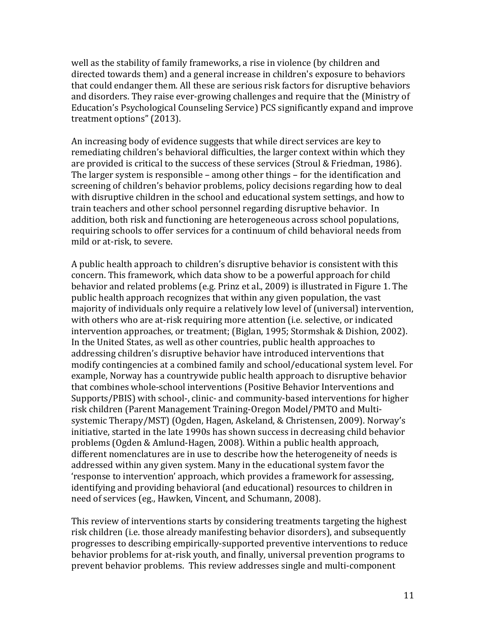well as the stability of family frameworks, a rise in violence (by children and directed towards them) and a general increase in children's exposure to behaviors that could endanger them. All these are serious risk factors for disruptive behaviors and disorders. They raise ever-growing challenges and require that the (Ministry of Education's Psychological Counseling Service) PCS significantly expand and improve treatment options" (2013).

An increasing body of evidence suggests that while direct services are key to remediating children's behavioral difficulties, the larger context within which they are provided is critical to the success of these services (Stroul & Friedman, 1986). The larger system is responsible – among other things – for the identification and screening of children's behavior problems, policy decisions regarding how to deal with disruptive children in the school and educational system settings, and how to train teachers and other school personnel regarding disruptive behavior. In addition, both risk and functioning are heterogeneous across school populations, requiring schools to offer services for a continuum of child behavioral needs from mild or at-risk, to severe.

A public health approach to children's disruptive behavior is consistent with this concern. This framework, which data show to be a powerful approach for child behavior and related problems (e.g. Prinz et al., 2009) is illustrated in Figure 1. The public health approach recognizes that within any given population, the vast majority of individuals only require a relatively low level of (universal) intervention, with others who are at-risk requiring more attention (i.e. selective, or indicated intervention approaches, or treatment; (Biglan, 1995; Stormshak & Dishion, 2002). In the United States, as well as other countries, public health approaches to addressing children's disruptive behavior have introduced interventions that modify contingencies at a combined family and school/educational system level. For example, Norway has a countrywide public health approach to disruptive behavior that combines whole-school interventions (Positive Behavior Interventions and Supports/PBIS) with school-, clinic- and community-based interventions for higher risk children (Parent Management Training-Oregon Model/PMTO and Multisystemic Therapy/MST) (Ogden, Hagen, Askeland, & Christensen, 2009). Norway's initiative, started in the late 1990s has shown success in decreasing child behavior problems (Ogden & Amlund-Hagen, 2008). Within a public health approach, different nomenclatures are in use to describe how the heterogeneity of needs is addressed within any given system. Many in the educational system favor the 'response to intervention' approach, which provides a framework for assessing, identifying and providing behavioral (and educational) resources to children in need of services (eg., Hawken, Vincent, and Schumann, 2008).

This review of interventions starts by considering treatments targeting the highest risk children (i.e. those already manifesting behavior disorders), and subsequently progresses to describing empirically-supported preventive interventions to reduce behavior problems for at-risk youth, and finally, universal prevention programs to prevent behavior problems. This review addresses single and multi-component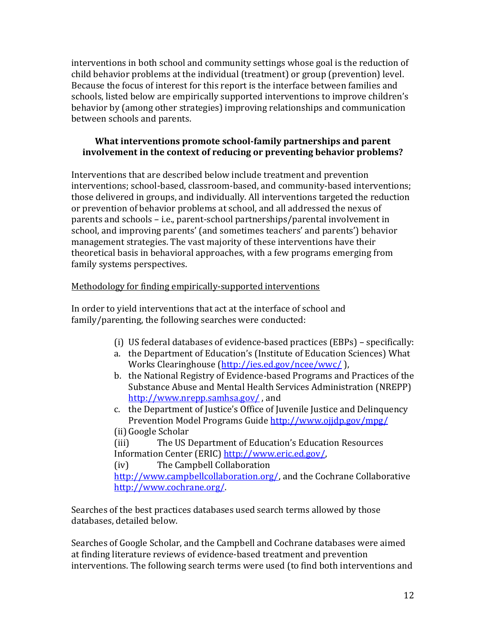interventions in both school and community settings whose goal is the reduction of child behavior problems at the individual (treatment) or group (prevention) level. Because the focus of interest for this report is the interface between families and schools, listed below are empirically supported interventions to improve children's behavior by (among other strategies) improving relationships and communication between schools and parents.

# **What interventions promote school-family partnerships and parent involvement in the context of reducing or preventing behavior problems?**

Interventions that are described below include treatment and prevention interventions; school-based, classroom-based, and community-based interventions; those delivered in groups, and individually. All interventions targeted the reduction or prevention of behavior problems at school, and all addressed the nexus of parents and schools – i.e., parent-school partnerships/parental involvement in school, and improving parents' (and sometimes teachers' and parents') behavior management strategies. The vast majority of these interventions have their theoretical basis in behavioral approaches, with a few programs emerging from family systems perspectives.

# Methodology for finding empirically-supported interventions

In order to yield interventions that act at the interface of school and family/parenting, the following searches were conducted:

- (i) US federal databases of evidence-based practices (EBPs) specifically:
- a. the Department of Education's (Institute of Education Sciences) What Works Clearinghouse [\(http://ies.ed.gov/ncee/wwc/](http://ies.ed.gov/ncee/wwc/) ),
- b. the National Registry of Evidence-based Programs and Practices of the Substance Abuse and Mental Health Services Administration (NREPP) <http://www.nrepp.samhsa.gov/> , and
- c. the Department of Justice's Office of Juvenile Justice and Delinquency Prevention Model Programs Guide<http://www.ojjdp.gov/mpg/>
- (ii) Google Scholar

(iii) The US Department of Education's Education Resources Information Center (ERIC) [http://www.eric.ed.gov/,](http://www.eric.ed.gov/)

(iv) The Campbell Collaboration

[http://www.campbellcollaboration.org/,](http://www.campbellcollaboration.org/) and the Cochrane Collaborative [http://www.cochrane.org/.](http://www.cochrane.org/)

Searches of the best practices databases used search terms allowed by those databases, detailed below.

Searches of Google Scholar, and the Campbell and Cochrane databases were aimed at finding literature reviews of evidence-based treatment and prevention interventions. The following search terms were used (to find both interventions and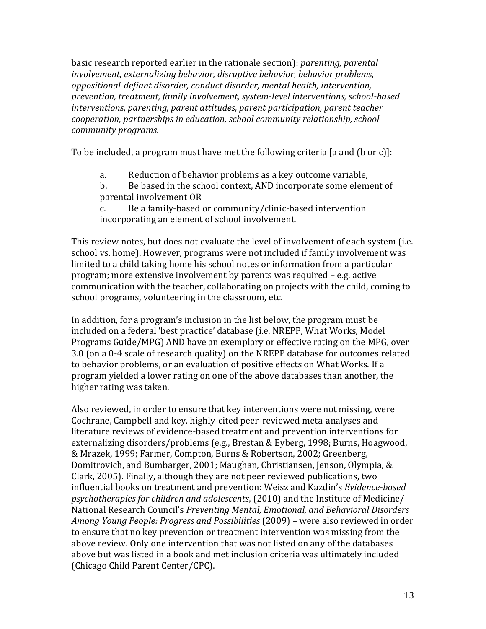basic research reported earlier in the rationale section): *parenting, parental involvement, externalizing behavior, disruptive behavior, behavior problems, oppositional-defiant disorder, conduct disorder, mental health, intervention, prevention, treatment, family involvement, system-level interventions, school-based interventions, parenting, parent attitudes, parent participation, parent teacher cooperation, partnerships in education, school community relationship, school community programs*.

To be included, a program must have met the following criteria [a and (b or c)]:

- a. Reduction of behavior problems as a key outcome variable,
- b. Be based in the school context, AND incorporate some element of parental involvement OR

c. Be a family-based or community/clinic-based intervention incorporating an element of school involvement.

This review notes, but does not evaluate the level of involvement of each system (i.e. school vs. home). However, programs were not included if family involvement was limited to a child taking home his school notes or information from a particular program; more extensive involvement by parents was required – e.g. active communication with the teacher, collaborating on projects with the child, coming to school programs, volunteering in the classroom, etc.

In addition, for a program's inclusion in the list below, the program must be included on a federal 'best practice' database (i.e. NREPP, What Works, Model Programs Guide/MPG) AND have an exemplary or effective rating on the MPG, over 3.0 (on a 0-4 scale of research quality) on the NREPP database for outcomes related to behavior problems, or an evaluation of positive effects on What Works. If a program yielded a lower rating on one of the above databases than another, the higher rating was taken.

Also reviewed, in order to ensure that key interventions were not missing, were Cochrane, Campbell and key, highly-cited peer-reviewed meta-analyses and literature reviews of evidence-based treatment and prevention interventions for externalizing disorders/problems (e.g., Brestan & Eyberg, 1998; Burns, Hoagwood, & Mrazek, 1999; Farmer, Compton, Burns & Robertson, 2002; Greenberg, Domitrovich, and Bumbarger, 2001; Maughan, Christiansen, Jenson, Olympia, & Clark, 2005). Finally, although they are not peer reviewed publications, two influential books on treatment and prevention: Weisz and Kazdin's *Evidence-based psychotherapies for children and adolescents*, (2010) and the Institute of Medicine/ National Research Council's *Preventing Mental, Emotional, and Behavioral Disorders Among Young People: Progress and Possibilities* (2009) – were also reviewed in order to ensure that no key prevention or treatment intervention was missing from the above review. Only one intervention that was not listed on any of the databases above but was listed in a book and met inclusion criteria was ultimately included (Chicago Child Parent Center/CPC).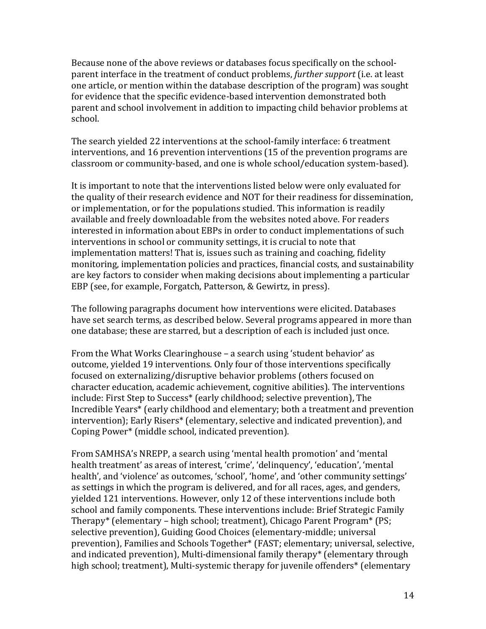Because none of the above reviews or databases focus specifically on the schoolparent interface in the treatment of conduct problems, *further support* (i.e. at least one article, or mention within the database description of the program) was sought for evidence that the specific evidence-based intervention demonstrated both parent and school involvement in addition to impacting child behavior problems at school.

The search yielded 22 interventions at the school-family interface: 6 treatment interventions, and 16 prevention interventions (15 of the prevention programs are classroom or community-based, and one is whole school/education system-based).

It is important to note that the interventions listed below were only evaluated for the quality of their research evidence and NOT for their readiness for dissemination, or implementation, or for the populations studied. This information is readily available and freely downloadable from the websites noted above. For readers interested in information about EBPs in order to conduct implementations of such interventions in school or community settings, it is crucial to note that implementation matters! That is, issues such as training and coaching, fidelity monitoring, implementation policies and practices, financial costs, and sustainability are key factors to consider when making decisions about implementing a particular EBP (see, for example, Forgatch, Patterson, & Gewirtz, in press).

The following paragraphs document how interventions were elicited. Databases have set search terms, as described below. Several programs appeared in more than one database; these are starred, but a description of each is included just once.

From the What Works Clearinghouse – a search using 'student behavior' as outcome, yielded 19 interventions. Only four of those interventions specifically focused on externalizing/disruptive behavior problems (others focused on character education, academic achievement, cognitive abilities). The interventions include: First Step to Success\* (early childhood; selective prevention), The Incredible Years\* (early childhood and elementary; both a treatment and prevention intervention); Early Risers\* (elementary, selective and indicated prevention), and Coping Power\* (middle school, indicated prevention).

From SAMHSA's NREPP, a search using 'mental health promotion' and 'mental health treatment' as areas of interest, 'crime', 'delinquency', 'education', 'mental health', and 'violence' as outcomes, 'school', 'home', and 'other community settings' as settings in which the program is delivered, and for all races, ages, and genders, yielded 121 interventions. However, only 12 of these interventions include both school and family components. These interventions include: Brief Strategic Family Therapy\* (elementary – high school; treatment), Chicago Parent Program\* (PS; selective prevention), Guiding Good Choices (elementary-middle; universal prevention), Families and Schools Together\* (FAST; elementary; universal, selective, and indicated prevention), Multi-dimensional family therapy\* (elementary through high school; treatment), Multi-systemic therapy for juvenile offenders<sup>\*</sup> (elementary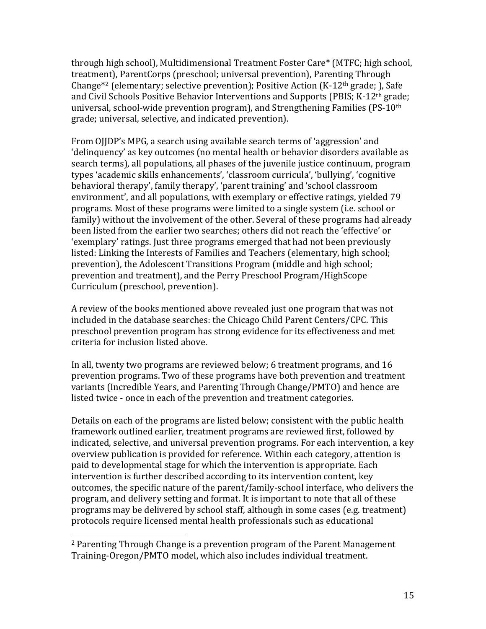through high school), Multidimensional Treatment Foster Care\* (MTFC; high school, treatment), ParentCorps (preschool; universal prevention), Parenting Through Change<sup>\*2</sup> (elementary; selective prevention); Positive Action  $(K-12<sup>th</sup> grade; )$ , Safe and Civil Schools Positive Behavior Interventions and Supports (PBIS; K-12th grade; universal, school-wide prevention program), and Strengthening Families (PS-10th grade; universal, selective, and indicated prevention).

From OJJDP's MPG, a search using available search terms of 'aggression' and 'delinquency' as key outcomes (no mental health or behavior disorders available as search terms), all populations, all phases of the juvenile justice continuum, program types 'academic skills enhancements', 'classroom curricula', 'bullying', 'cognitive behavioral therapy', family therapy', 'parent training' and 'school classroom environment', and all populations, with exemplary or effective ratings, yielded 79 programs. Most of these programs were limited to a single system (i.e. school or family) without the involvement of the other. Several of these programs had already been listed from the earlier two searches; others did not reach the 'effective' or 'exemplary' ratings. Just three programs emerged that had not been previously listed: Linking the Interests of Families and Teachers (elementary, high school; prevention), the Adolescent Transitions Program (middle and high school; prevention and treatment), and the Perry Preschool Program/HighScope Curriculum (preschool, prevention).

A review of the books mentioned above revealed just one program that was not included in the database searches: the Chicago Child Parent Centers/CPC. This preschool prevention program has strong evidence for its effectiveness and met criteria for inclusion listed above.

In all, twenty two programs are reviewed below; 6 treatment programs, and 16 prevention programs. Two of these programs have both prevention and treatment variants (Incredible Years, and Parenting Through Change/PMTO) and hence are listed twice - once in each of the prevention and treatment categories.

Details on each of the programs are listed below; consistent with the public health framework outlined earlier, treatment programs are reviewed first, followed by indicated, selective, and universal prevention programs. For each intervention, a key overview publication is provided for reference. Within each category, attention is paid to developmental stage for which the intervention is appropriate. Each intervention is further described according to its intervention content, key outcomes, the specific nature of the parent/family-school interface, who delivers the program, and delivery setting and format. It is important to note that all of these programs may be delivered by school staff, although in some cases (e.g. treatment) protocols require licensed mental health professionals such as educational

 $\overline{\phantom{a}}$ 

<sup>2</sup> Parenting Through Change is a prevention program of the Parent Management Training-Oregon/PMTO model, which also includes individual treatment.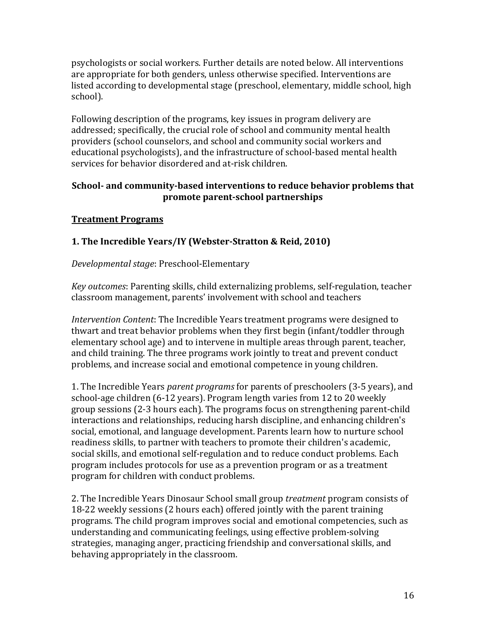psychologists or social workers. Further details are noted below. All interventions are appropriate for both genders, unless otherwise specified. Interventions are listed according to developmental stage (preschool, elementary, middle school, high school).

Following description of the programs, key issues in program delivery are addressed; specifically, the crucial role of school and community mental health providers (school counselors, and school and community social workers and educational psychologists), and the infrastructure of school-based mental health services for behavior disordered and at-risk children.

### **School- and community-based interventions to reduce behavior problems that promote parent-school partnerships**

# **Treatment Programs**

# **1. The Incredible Years/IY (Webster-Stratton & Reid, 2010)**

### *Developmental stage*: Preschool-Elementary

*Key outcomes*: Parenting skills, child externalizing problems, self-regulation, teacher classroom management, parents' involvement with school and teachers

*Intervention Content*: The Incredible Years treatment programs were designed to thwart and treat behavior problems when they first begin (infant/toddler through elementary school age) and to intervene in multiple areas through parent, teacher, and child training. The three programs work jointly to treat and prevent conduct problems, and increase social and emotional competence in young children.

1. The Incredible Years *parent programs* for parents of preschoolers (3-5 years), and school-age children (6-12 years). Program length varies from 12 to 20 weekly group sessions (2-3 hours each). The programs focus on strengthening parent-child interactions and relationships, reducing harsh discipline, and enhancing children's social, emotional, and language development. Parents learn how to nurture school readiness skills, to partner with teachers to promote their children's academic, social skills, and emotional self-regulation and to reduce conduct problems. Each program includes protocols for use as a prevention program or as a treatment program for children with conduct problems.

2. The Incredible Years Dinosaur School small group *treatment* program consists of 18-22 weekly sessions (2 hours each) offered jointly with the parent training programs. The child program improves social and emotional competencies, such as understanding and communicating feelings, using effective problem-solving strategies, managing anger, practicing friendship and conversational skills, and behaving appropriately in the classroom.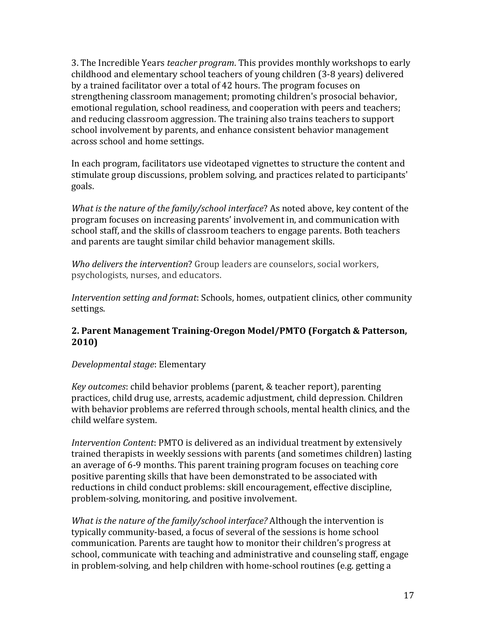3. The Incredible Years *teacher program*. This provides monthly workshops to early childhood and elementary school teachers of young children (3-8 years) delivered by a trained facilitator over a total of 42 hours. The program focuses on strengthening classroom management; promoting children's prosocial behavior, emotional regulation, school readiness, and cooperation with peers and teachers; and reducing classroom aggression. The training also trains teachers to support school involvement by parents, and enhance consistent behavior management across school and home settings.

In each program, facilitators use videotaped vignettes to structure the content and stimulate group discussions, problem solving, and practices related to participants' goals.

*What is the nature of the family/school interface*? As noted above, key content of the program focuses on increasing parents' involvement in, and communication with school staff, and the skills of classroom teachers to engage parents. Both teachers and parents are taught similar child behavior management skills.

*Who delivers the intervention*? Group leaders are counselors, social workers, psychologists, nurses, and educators.

*Intervention setting and format*: Schools, homes, outpatient clinics, other community settings.

### **2. Parent Management Training-Oregon Model/PMTO (Forgatch & Patterson, 2010)**

#### *Developmental stage*: Elementary

*Key outcomes*: child behavior problems (parent, & teacher report), parenting practices, child drug use, arrests, academic adjustment, child depression. Children with behavior problems are referred through schools, mental health clinics, and the child welfare system.

*Intervention Content*: PMTO is delivered as an individual treatment by extensively trained therapists in weekly sessions with parents (and sometimes children) lasting an average of 6-9 months. This parent training program focuses on teaching core positive parenting skills that have been demonstrated to be associated with reductions in child conduct problems: skill encouragement, effective discipline, problem-solving, monitoring, and positive involvement.

*What is the nature of the family/school interface?* Although the intervention is typically community-based, a focus of several of the sessions is home school communication. Parents are taught how to monitor their children's progress at school, communicate with teaching and administrative and counseling staff, engage in problem-solving, and help children with home-school routines (e.g. getting a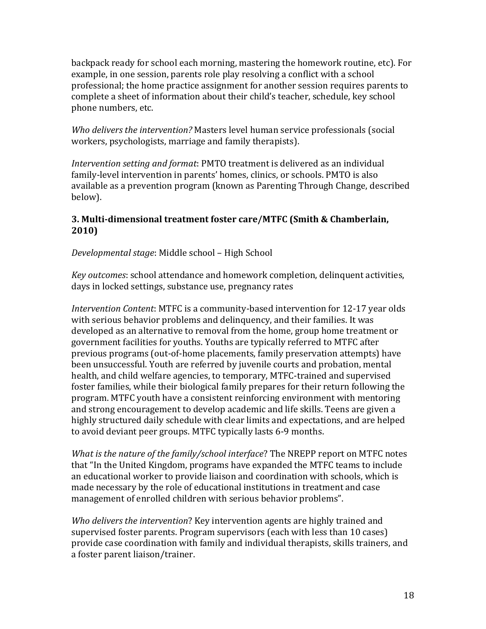backpack ready for school each morning, mastering the homework routine, etc). For example, in one session, parents role play resolving a conflict with a school professional; the home practice assignment for another session requires parents to complete a sheet of information about their child's teacher, schedule, key school phone numbers, etc.

*Who delivers the intervention?* Masters level human service professionals (social workers, psychologists, marriage and family therapists).

*Intervention setting and format*: PMTO treatment is delivered as an individual family-level intervention in parents' homes, clinics, or schools. PMTO is also available as a prevention program (known as Parenting Through Change, described below).

### **3. Multi-dimensional treatment foster care/MTFC (Smith & Chamberlain, 2010)**

*Developmental stage*: Middle school – High School

*Key outcomes*: school attendance and homework completion, delinquent activities, days in locked settings, substance use, pregnancy rates

*Intervention Content*: MTFC is a community-based intervention for 12-17 year olds with serious behavior problems and delinquency, and their families. It was developed as an alternative to removal from the home, group home treatment or government facilities for youths. Youths are typically referred to MTFC after previous programs (out-of-home placements, family preservation attempts) have been unsuccessful. Youth are referred by juvenile courts and probation, mental health, and child welfare agencies, to temporary, MTFC-trained and supervised foster families, while their biological family prepares for their return following the program. MTFC youth have a consistent reinforcing environment with mentoring and strong encouragement to develop academic and life skills. Teens are given a highly structured daily schedule with clear limits and expectations, and are helped to avoid deviant peer groups. MTFC typically lasts 6-9 months.

*What is the nature of the family/school interface*? The NREPP report on MTFC notes that "In the United Kingdom, programs have expanded the MTFC teams to include an educational worker to provide liaison and coordination with schools, which is made necessary by the role of educational institutions in treatment and case management of enrolled children with serious behavior problems".

*Who delivers the intervention*? Key intervention agents are highly trained and supervised foster parents. Program supervisors (each with less than 10 cases) provide case coordination with family and individual therapists, skills trainers, and a foster parent liaison/trainer.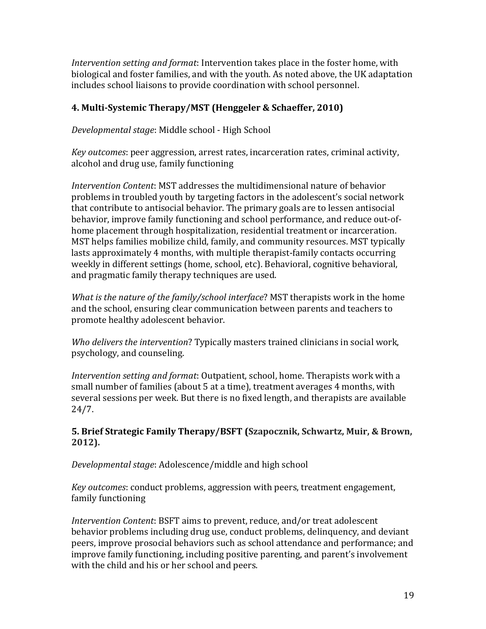*Intervention setting and format*: Intervention takes place in the foster home, with biological and foster families, and with the youth. As noted above, the UK adaptation includes school liaisons to provide coordination with school personnel.

# **4. Multi-Systemic Therapy/MST (Henggeler & Schaeffer, 2010)**

*Developmental stage*: Middle school - High School

*Key outcomes*: peer aggression, arrest rates, incarceration rates, criminal activity, alcohol and drug use, family functioning

*Intervention Content*: MST addresses the multidimensional nature of behavior problems in troubled youth by targeting factors in the adolescent's social network that contribute to antisocial behavior. The primary goals are to lessen antisocial behavior, improve family functioning and school performance, and reduce out-ofhome placement through hospitalization, residential treatment or incarceration. MST helps families mobilize child, family, and community resources. MST typically lasts approximately 4 months, with multiple therapist-family contacts occurring weekly in different settings (home, school, etc). Behavioral, cognitive behavioral, and pragmatic family therapy techniques are used.

*What is the nature of the family/school interface*? MST therapists work in the home and the school, ensuring clear communication between parents and teachers to promote healthy adolescent behavior.

*Who delivers the intervention*? Typically masters trained clinicians in social work, psychology, and counseling.

*Intervention setting and format*: Outpatient, school, home. Therapists work with a small number of families (about 5 at a time), treatment averages 4 months, with several sessions per week. But there is no fixed length, and therapists are available 24/7.

### **5. Brief Strategic Family Therapy/BSFT (Szapocznik, Schwartz, Muir, & Brown, 2012).**

# *Developmental stage*: Adolescence/middle and high school

*Key outcomes*: conduct problems, aggression with peers, treatment engagement, family functioning

*Intervention Content*: BSFT aims to prevent, reduce, and/or treat adolescent behavior problems including drug use, conduct problems, delinquency, and deviant peers, improve prosocial behaviors such as school attendance and performance; and improve family functioning, including positive parenting, and parent's involvement with the child and his or her school and peers.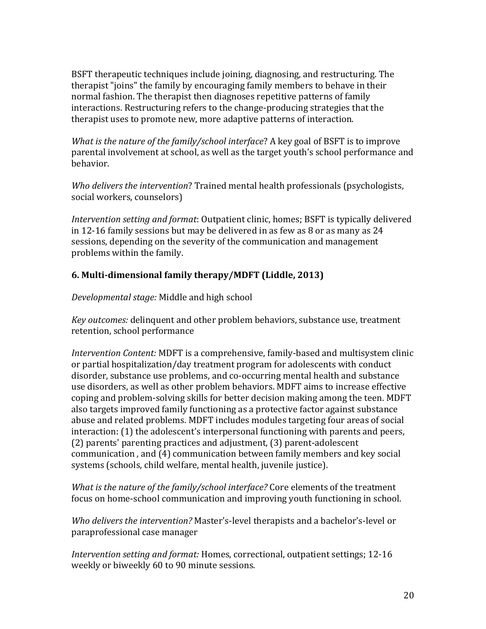BSFT therapeutic techniques include joining, diagnosing, and restructuring. The therapist "joins" the family by encouraging family members to behave in their normal fashion. The therapist then diagnoses repetitive patterns of family interactions. Restructuring refers to the change-producing strategies that the therapist uses to promote new, more adaptive patterns of interaction.

*What is the nature of the family/school interface*? A key goal of BSFT is to improve parental involvement at school, as well as the target youth's school performance and behavior.

*Who delivers the intervention*? Trained mental health professionals (psychologists, social workers, counselors)

*Intervention setting and format*: Outpatient clinic, homes; BSFT is typically delivered in 12-16 family sessions but may be delivered in as few as 8 or as many as 24 sessions, depending on the severity of the communication and management problems within the family.

# **6. Multi-dimensional family therapy/MDFT (Liddle, 2013)**

*Developmental stage:* Middle and high school

*Key outcomes:* delinquent and other problem behaviors, substance use, treatment retention, school performance

*Intervention Content:* MDFT is a comprehensive, family-based and multisystem clinic or partial hospitalization/day treatment program for adolescents with conduct disorder, substance use problems, and co-occurring mental health and substance use disorders, as well as other problem behaviors. MDFT aims to increase effective coping and problem-solving skills for better decision making among the teen. MDFT also targets improved family functioning as a protective factor against substance abuse and related problems. MDFT includes modules targeting four areas of social interaction: (1) the adolescent's interpersonal functioning with parents and peers, (2) parents' parenting practices and adjustment, (3) parent-adolescent communication , and (4) communication between family members and key social systems (schools, child welfare, mental health, juvenile justice).

*What is the nature of the family/school interface?* Core elements of the treatment focus on home-school communication and improving youth functioning in school.

*Who delivers the intervention?* Master's-level therapists and a bachelor's-level or paraprofessional case manager

*Intervention setting and format:* Homes, correctional, outpatient settings; 12-16 weekly or biweekly 60 to 90 minute sessions.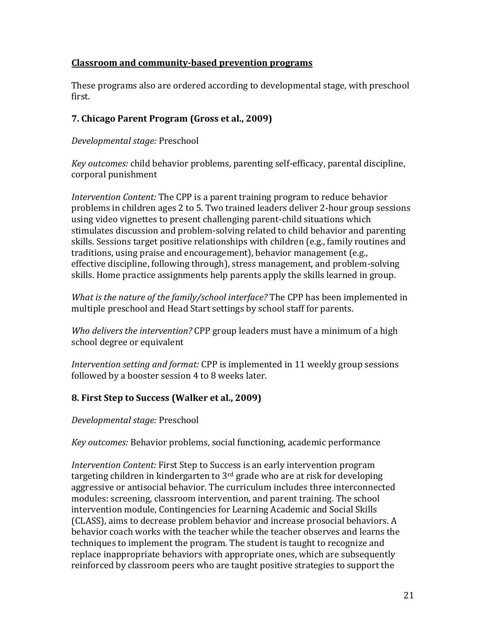### **Classroom and community-based prevention programs**

These programs also are ordered according to developmental stage, with preschool first.

# **7. Chicago Parent Program (Gross et al., 2009)**

### *Developmental stage:* Preschool

*Key outcomes:* child behavior problems, parenting self-efficacy, parental discipline, corporal punishment

*Intervention Content:* The CPP is a parent training program to reduce behavior problems in children ages 2 to 5. Two trained leaders deliver 2-hour group sessions using video vignettes to present challenging parent-child situations which stimulates discussion and problem-solving related to child behavior and parenting skills. Sessions target positive relationships with children (e.g., family routines and traditions, using praise and encouragement), behavior management (e.g., effective discipline, following through), stress management, and problem-solving skills. Home practice assignments help parents apply the skills learned in group.

*What is the nature of the family/school interface?* The CPP has been implemented in multiple preschool and Head Start settings by school staff for parents.

*Who delivers the intervention?* CPP group leaders must have a minimum of a high school degree or equivalent

*Intervention setting and format:* CPP is implemented in 11 weekly group sessions followed by a booster session 4 to 8 weeks later.

# **8. First Step to Success (Walker et al., 2009)**

# *Developmental stage:* Preschool

*Key outcomes:* Behavior problems, social functioning, academic performance

*Intervention Content:* First Step to Success is an early intervention program targeting children in kindergarten to 3<sup>rd</sup> grade who are at risk for developing aggressive or antisocial behavior. The curriculum includes three interconnected modules: screening, classroom intervention, and parent training. The school intervention module, Contingencies for Learning Academic and Social Skills (CLASS), aims to decrease problem behavior and increase prosocial behaviors. A behavior coach works with the teacher while the teacher observes and learns the techniques to implement the program. The student is taught to recognize and replace inappropriate behaviors with appropriate ones, which are subsequently reinforced by classroom peers who are taught positive strategies to support the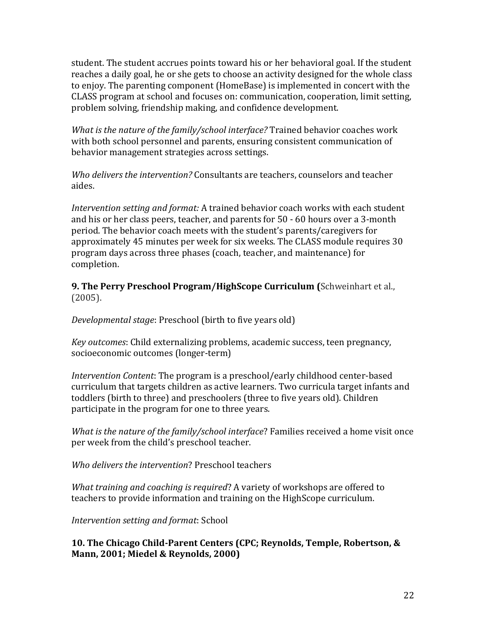student. The student accrues points toward his or her behavioral goal. If the student reaches a daily goal, he or she gets to choose an activity designed for the whole class to enjoy. The parenting component (HomeBase) is implemented in concert with the CLASS program at school and focuses on: communication, cooperation, limit setting, problem solving, friendship making, and confidence development.

*What is the nature of the family/school interface?* Trained behavior coaches work with both school personnel and parents, ensuring consistent communication of behavior management strategies across settings.

*Who delivers the intervention?* Consultants are teachers, counselors and teacher aides.

*Intervention setting and format:* A trained behavior coach works with each student and his or her class peers, teacher, and parents for 50 - 60 hours over a 3-month period. The behavior coach meets with the student's parents/caregivers for approximately 45 minutes per week for six weeks. The CLASS module requires 30 program days across three phases (coach, teacher, and maintenance) for completion.

**9. The Perry Preschool Program/HighScope Curriculum (**Schweinhart et al., (2005).

*Developmental stage*: Preschool (birth to five years old)

*Key outcomes*: Child externalizing problems, academic success, teen pregnancy, socioeconomic outcomes (longer-term)

*Intervention Content*: The program is a preschool/early childhood center-based curriculum that targets children as active learners. Two curricula target infants and toddlers (birth to three) and preschoolers (three to five years old). Children participate in the program for one to three years.

*What is the nature of the family/school interface*? Families received a home visit once per week from the child's preschool teacher.

*Who delivers the intervention*? Preschool teachers

*What training and coaching is required*? A variety of workshops are offered to teachers to provide information and training on the HighScope curriculum.

*Intervention setting and format*: School

**10. The Chicago Child-Parent Centers (CPC; Reynolds, Temple, Robertson, & Mann, 2001; Miedel & Reynolds, 2000)**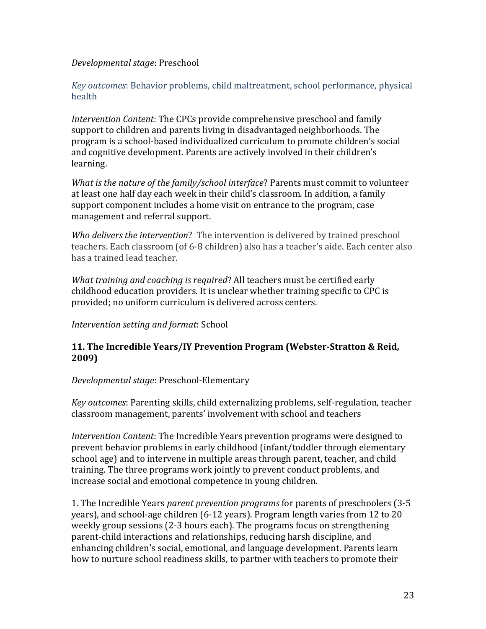*Developmental stage*: Preschool

*Key outcomes*: Behavior problems, child maltreatment, school performance, physical health

*Intervention Content*: The CPCs provide comprehensive preschool and family support to children and parents living in disadvantaged neighborhoods. The program is a school-based individualized curriculum to promote children's social and cognitive development. Parents are actively involved in their children's learning.

*What is the nature of the family/school interface*? Parents must commit to volunteer at least one half day each week in their child's classroom. In addition, a family support component includes a home visit on entrance to the program, case management and referral support.

*Who delivers the intervention*? The intervention is delivered by trained preschool teachers. Each classroom (of 6-8 children) also has a teacher's aide. Each center also has a trained lead teacher.

*What training and coaching is required*? All teachers must be certified early childhood education providers. It is unclear whether training specific to CPC is provided; no uniform curriculum is delivered across centers.

*Intervention setting and format*: School

#### **11. The Incredible Years/IY Prevention Program (Webster-Stratton & Reid, 2009)**

*Developmental stage*: Preschool-Elementary

*Key outcomes*: Parenting skills, child externalizing problems, self-regulation, teacher classroom management, parents' involvement with school and teachers

*Intervention Content*: The Incredible Years prevention programs were designed to prevent behavior problems in early childhood (infant/toddler through elementary school age) and to intervene in multiple areas through parent, teacher, and child training. The three programs work jointly to prevent conduct problems, and increase social and emotional competence in young children.

1. The Incredible Years *parent prevention programs* for parents of preschoolers (3-5 years), and school-age children (6-12 years). Program length varies from 12 to 20 weekly group sessions (2-3 hours each). The programs focus on strengthening parent-child interactions and relationships, reducing harsh discipline, and enhancing children's social, emotional, and language development. Parents learn how to nurture school readiness skills, to partner with teachers to promote their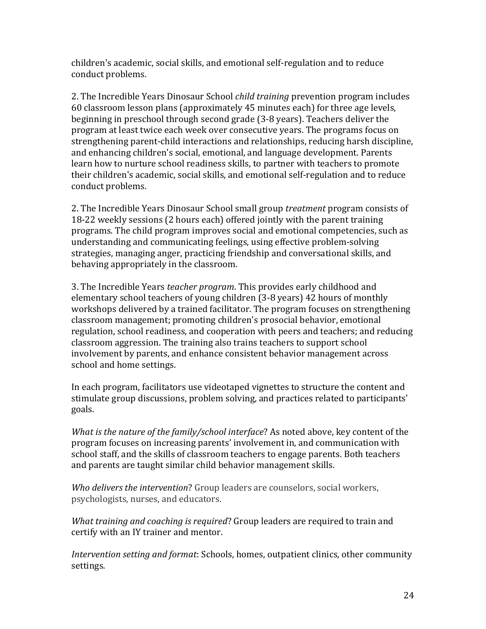children's academic, social skills, and emotional self-regulation and to reduce conduct problems.

2. The Incredible Years Dinosaur School *child training* prevention program includes 60 classroom lesson plans (approximately 45 minutes each) for three age levels, beginning in preschool through second grade (3-8 years). Teachers deliver the program at least twice each week over consecutive years. The programs focus on strengthening parent-child interactions and relationships, reducing harsh discipline, and enhancing children's social, emotional, and language development. Parents learn how to nurture school readiness skills, to partner with teachers to promote their children's academic, social skills, and emotional self-regulation and to reduce conduct problems.

2. The Incredible Years Dinosaur School small group *treatment* program consists of 18-22 weekly sessions (2 hours each) offered jointly with the parent training programs. The child program improves social and emotional competencies, such as understanding and communicating feelings, using effective problem-solving strategies, managing anger, practicing friendship and conversational skills, and behaving appropriately in the classroom.

3. The Incredible Years *teacher program*. This provides early childhood and elementary school teachers of young children (3-8 years) 42 hours of monthly workshops delivered by a trained facilitator. The program focuses on strengthening classroom management; promoting children's prosocial behavior, emotional regulation, school readiness, and cooperation with peers and teachers; and reducing classroom aggression. The training also trains teachers to support school involvement by parents, and enhance consistent behavior management across school and home settings.

In each program, facilitators use videotaped vignettes to structure the content and stimulate group discussions, problem solving, and practices related to participants' goals.

*What is the nature of the family/school interface*? As noted above, key content of the program focuses on increasing parents' involvement in, and communication with school staff, and the skills of classroom teachers to engage parents. Both teachers and parents are taught similar child behavior management skills.

*Who delivers the intervention*? Group leaders are counselors, social workers, psychologists, nurses, and educators.

*What training and coaching is required*? Group leaders are required to train and certify with an IY trainer and mentor.

*Intervention setting and format*: Schools, homes, outpatient clinics, other community settings.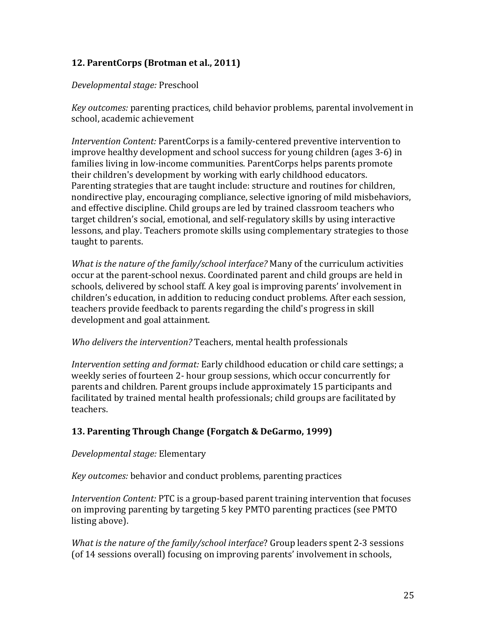# **12. ParentCorps (Brotman et al., 2011)**

#### *Developmental stage:* Preschool

*Key outcomes:* parenting practices, child behavior problems, parental involvement in school, academic achievement

*Intervention Content:* ParentCorps is a family-centered preventive intervention to improve healthy development and school success for young children (ages 3-6) in families living in low-income communities. ParentCorps helps parents promote their children's development by working with early childhood educators. Parenting strategies that are taught include: structure and routines for children, nondirective play, encouraging compliance, selective ignoring of mild misbehaviors, and effective discipline. Child groups are led by trained classroom teachers who target children's social, emotional, and self-regulatory skills by using interactive lessons, and play. Teachers promote skills using complementary strategies to those taught to parents.

*What is the nature of the family/school interface?* Many of the curriculum activities occur at the parent-school nexus. Coordinated parent and child groups are held in schools, delivered by school staff. A key goal is improving parents' involvement in children's education, in addition to reducing conduct problems*.* After each session, teachers provide feedback to parents regarding the child's progress in skill development and goal attainment.

#### *Who delivers the intervention?* Teachers, mental health professionals

*Intervention setting and format:* Early childhood education or child care settings; a weekly series of fourteen 2- hour group sessions, which occur concurrently for parents and children. Parent groups include approximately 15 participants and facilitated by trained mental health professionals; child groups are facilitated by teachers.

# **13. Parenting Through Change (Forgatch & DeGarmo, 1999)**

# *Developmental stage:* Elementary

*Key outcomes:* behavior and conduct problems, parenting practices

*Intervention Content:* PTC is a group-based parent training intervention that focuses on improving parenting by targeting 5 key PMTO parenting practices (see PMTO listing above).

*What is the nature of the family/school interface*? Group leaders spent 2-3 sessions (of 14 sessions overall) focusing on improving parents' involvement in schools,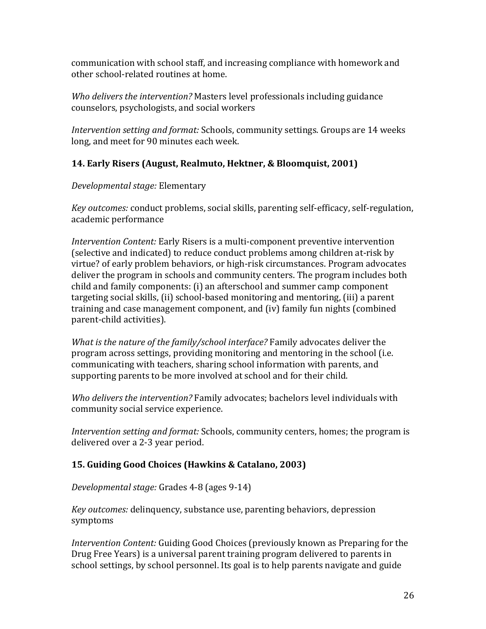communication with school staff, and increasing compliance with homework and other school-related routines at home.

*Who delivers the intervention?* Masters level professionals including guidance counselors, psychologists, and social workers

*Intervention setting and format:* Schools, community settings. Groups are 14 weeks long, and meet for 90 minutes each week.

# **14. Early Risers (August, Realmuto, Hektner, & Bloomquist, 2001)**

### *Developmental stage:* Elementary

*Key outcomes:* conduct problems, social skills, parenting self-efficacy, self-regulation, academic performance

*Intervention Content:* Early Risers is a multi-component preventive intervention (selective and indicated) to reduce conduct problems among children at-risk by virtue? of early problem behaviors, or high-risk circumstances. Program advocates deliver the program in schools and community centers. The program includes both child and family components: (i) an afterschool and summer camp component targeting social skills, (ii) school-based monitoring and mentoring, (iii) a parent training and case management component, and (iv) family fun nights (combined parent-child activities).

*What is the nature of the family/school interface?* Family advocates deliver the program across settings, providing monitoring and mentoring in the school (i.e. communicating with teachers, sharing school information with parents, and supporting parents to be more involved at school and for their child.

*Who delivers the intervention?* Family advocates; bachelors level individuals with community social service experience.

*Intervention setting and format:* Schools, community centers, homes; the program is delivered over a 2-3 year period.

# **15. Guiding Good Choices (Hawkins & Catalano, 2003)**

*Developmental stage:* Grades 4-8 (ages 9-14)

*Key outcomes:* delinquency, substance use, parenting behaviors, depression symptoms

*Intervention Content:* Guiding Good Choices (previously known as Preparing for the Drug Free Years) is a universal parent training program delivered to parents in school settings, by school personnel. Its goal is to help parents navigate and guide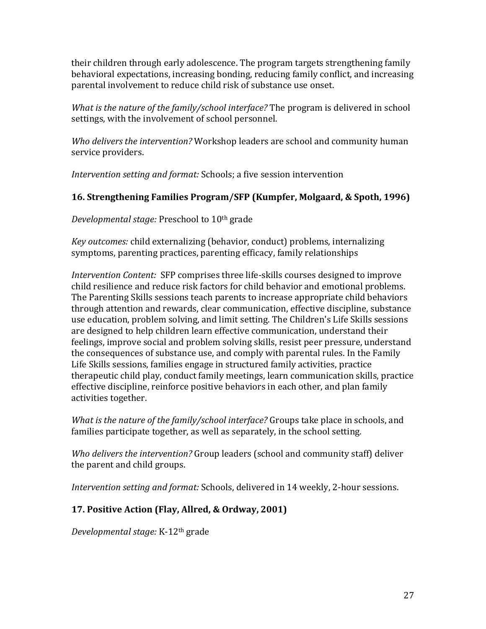their children through early adolescence. The program targets strengthening family behavioral expectations, increasing bonding, reducing family conflict, and increasing parental involvement to reduce child risk of substance use onset.

*What is the nature of the family/school interface?* The program is delivered in school settings, with the involvement of school personnel.

*Who delivers the intervention?* Workshop leaders are school and community human service providers.

*Intervention setting and format:* Schools; a five session intervention

# **16. Strengthening Families Program/SFP (Kumpfer, Molgaard, & Spoth, 1996)**

*Developmental stage:* Preschool to 10th grade

*Key outcomes:* child externalizing (behavior, conduct) problems, internalizing symptoms, parenting practices, parenting efficacy, family relationships

*Intervention Content:* SFP comprises three life-skills courses designed to improve child resilience and reduce risk factors for child behavior and emotional problems. The Parenting Skills sessions teach parents to increase appropriate child behaviors through attention and rewards, clear communication, effective discipline, substance use education, problem solving, and limit setting. The Children's Life Skills sessions are designed to help children learn effective communication, understand their feelings, improve social and problem solving skills, resist peer pressure, understand the consequences of substance use, and comply with parental rules. In the Family Life Skills sessions, families engage in structured family activities, practice therapeutic child play, conduct family meetings, learn communication skills, practice effective discipline, reinforce positive behaviors in each other, and plan family activities together.

*What is the nature of the family/school interface?* Groups take place in schools, and families participate together, as well as separately, in the school setting*.* 

*Who delivers the intervention?* Group leaders (school and community staff) deliver the parent and child groups.

*Intervention setting and format:* Schools, delivered in 14 weekly, 2-hour sessions.

# **17. Positive Action (Flay, Allred, & Ordway, 2001)**

*Developmental stage:* K-12th grade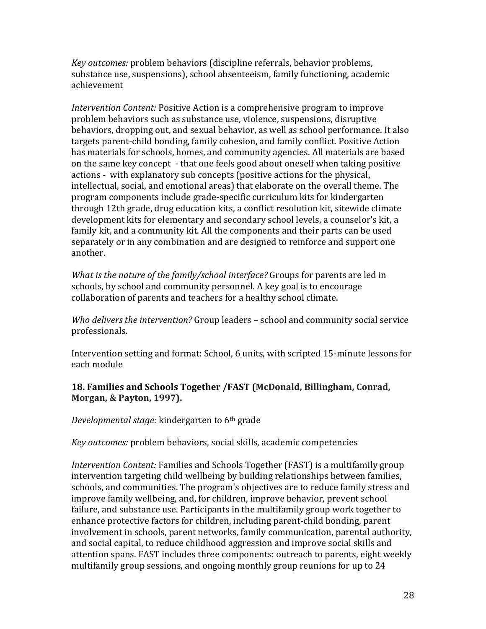*Key outcomes:* problem behaviors (discipline referrals, behavior problems, substance use, suspensions), school absenteeism, family functioning, academic achievement

*Intervention Content:* Positive Action is a comprehensive program to improve problem behaviors such as substance use, violence, suspensions, disruptive behaviors, dropping out, and sexual behavior, as well as school performance. It also targets parent-child bonding, family cohesion, and family conflict. Positive Action has materials for schools, homes, and community agencies. All materials are based on the same key concept - that one feels good about oneself when taking positive actions - with explanatory sub concepts (positive actions for the physical, intellectual, social, and emotional areas) that elaborate on the overall theme. The program components include grade-specific curriculum kits for kindergarten through 12th grade, drug education kits, a conflict resolution kit, sitewide climate development kits for elementary and secondary school levels, a counselor's kit, a family kit, and a community kit. All the components and their parts can be used separately or in any combination and are designed to reinforce and support one another.

*What is the nature of the family/school interface?* Groups for parents are led in schools, by school and community personnel. A key goal is to encourage collaboration of parents and teachers for a healthy school climate.

*Who delivers the intervention?* Group leaders – school and community social service professionals.

Intervention setting and format: School, 6 units, with scripted 15-minute lessons for each module

# **18. Families and Schools Together /FAST (McDonald, Billingham, Conrad, Morgan, & Payton, 1997).**

*Developmental stage:* kindergarten to 6th grade

*Key outcomes:* problem behaviors, social skills, academic competencies

*Intervention Content:* Families and Schools Together (FAST) is a multifamily group intervention targeting child wellbeing by building relationships between families, schools, and communities. The program's objectives are to reduce family stress and improve family wellbeing, and, for children, improve behavior, prevent school failure, and substance use. Participants in the multifamily group work together to enhance protective factors for children, including parent-child bonding, parent involvement in schools, parent networks, family communication, parental authority, and social capital, to reduce childhood aggression and improve social skills and attention spans. FAST includes three components: outreach to parents, eight weekly multifamily group sessions, and ongoing monthly group reunions for up to 24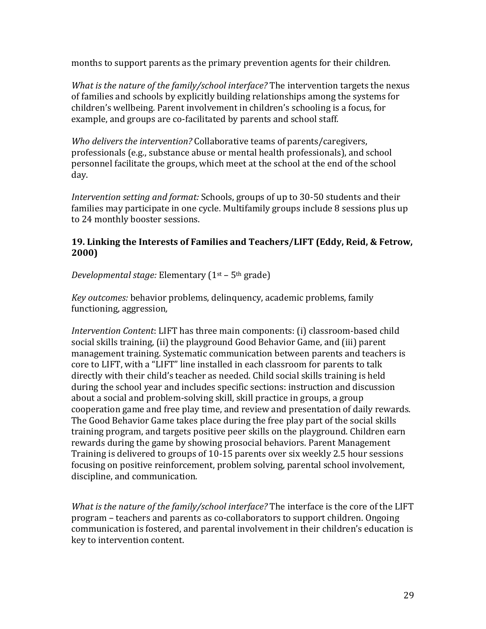months to support parents as the primary prevention agents for their children.

*What is the nature of the family/school interface?* The intervention targets the nexus of families and schools by explicitly building relationships among the systems for children's wellbeing. Parent involvement in children's schooling is a focus, for example, and groups are co-facilitated by parents and school staff.

*Who delivers the intervention?* Collaborative teams of parents/caregivers, professionals (e.g., substance abuse or mental health professionals), and school personnel facilitate the groups, which meet at the school at the end of the school day.

*Intervention setting and format:* Schools, groups of up to 30-50 students and their families may participate in one cycle*.* Multifamily groups include 8 sessions plus up to 24 monthly booster sessions.

#### **19. Linking the Interests of Families and Teachers/LIFT (Eddy, Reid, & Fetrow, 2000)**

*Developmental stage:* Elementary (1st – 5th grade)

*Key outcomes:* behavior problems, delinquency, academic problems, family functioning, aggression*,* 

*Intervention Content*: LIFT has three main components: (i) classroom-based child social skills training, (ii) the playground Good Behavior Game, and (iii) parent management training. Systematic communication between parents and teachers is core to LIFT, with a "LIFT" line installed in each classroom for parents to talk directly with their child's teacher as needed. Child social skills training is held during the school year and includes specific sections: instruction and discussion about a social and problem-solving skill, skill practice in groups, a group cooperation game and free play time, and review and presentation of daily rewards. The Good Behavior Game takes place during the free play part of the social skills training program, and targets positive peer skills on the playground. Children earn rewards during the game by showing prosocial behaviors. Parent Management Training is delivered to groups of 10-15 parents over six weekly 2.5 hour sessions focusing on positive reinforcement, problem solving, parental school involvement, discipline, and communication.

*What is the nature of the family/school interface?* The interface is the core of the LIFT program – teachers and parents as co-collaborators to support children. Ongoing communication is fostered, and parental involvement in their children's education is key to intervention content.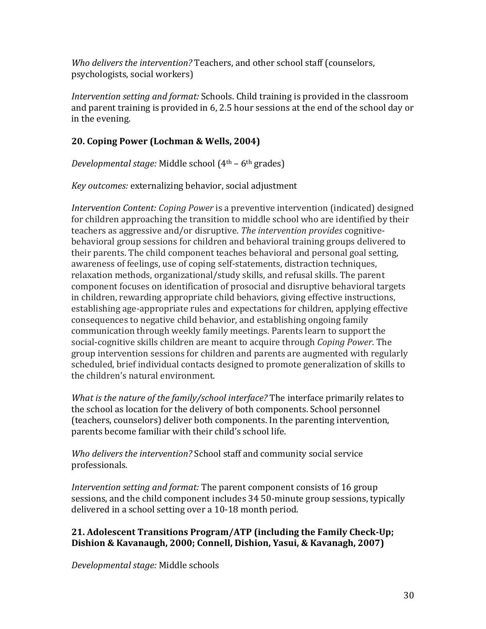*Who delivers the intervention?* Teachers, and other school staff (counselors, psychologists, social workers)

*Intervention setting and format:* Schools. Child training is provided in the classroom and parent training is provided in 6, 2.5 hour sessions at the end of the school day or in the evening.

# **20. Coping Power (Lochman & Wells, 2004)**

*Developmental stage:* Middle school (4th – 6th grades)

*Key outcomes:* externalizing behavior, social adjustment

*Intervention Content: Coping Power* is a preventive intervention (indicated) designed for children approaching the transition to middle school who are identified by their teachers as aggressive and/or disruptive. *The intervention provides* cognitivebehavioral group sessions for children and behavioral training groups delivered to their parents. The child component teaches behavioral and personal goal setting, awareness of feelings, use of coping self-statements, distraction techniques, relaxation methods, organizational/study skills, and refusal skills. The parent component focuses on identification of prosocial and disruptive behavioral targets in children, rewarding appropriate child behaviors, giving effective instructions, establishing age-appropriate rules and expectations for children, applying effective consequences to negative child behavior, and establishing ongoing family communication through weekly family meetings. Parents learn to support the social-cognitive skills children are meant to acquire through *Coping Power*. The group intervention sessions for children and parents are augmented with regularly scheduled, brief individual contacts designed to promote generalization of skills to the children's natural environment.

*What is the nature of the family/school interface?* The interface primarily relates to the school as location for the delivery of both components. School personnel (teachers, counselors) deliver both components. In the parenting intervention, parents become familiar with their child's school life.

*Who delivers the intervention?* School staff and community social service professionals*.*

*Intervention setting and format:* The parent component consists of 16 group sessions, and the child component includes 34 50-minute group sessions, typically delivered in a school setting over a 10-18 month period.

# **21. Adolescent Transitions Program/ATP (including the Family Check-Up; Dishion & Kavanaugh, 2000; Connell, Dishion, Yasui, & Kavanagh, 2007)**

*Developmental stage:* Middle schools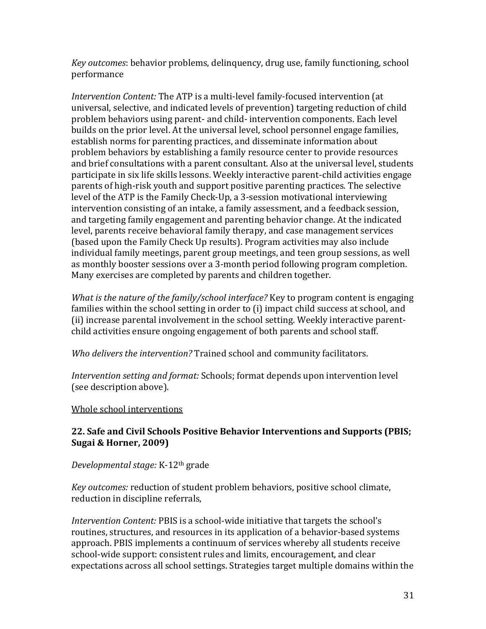*Key outcomes*: behavior problems, delinquency, drug use, family functioning, school performance

*Intervention Content:* The ATP is a multi-level family-focused intervention (at universal, selective, and indicated levels of prevention) targeting reduction of child problem behaviors using parent- and child- intervention components. Each level builds on the prior level. At the universal level, school personnel engage families, establish norms for parenting practices, and disseminate information about problem behaviors by establishing a family resource center to provide resources and brief consultations with a parent consultant. Also at the universal level, students participate in six life skills lessons. Weekly interactive parent-child activities engage parents of high-risk youth and support positive parenting practices. The selective level of the ATP is the Family Check-Up, a 3-session motivational interviewing intervention consisting of an intake, a family assessment, and a feedback session, and targeting family engagement and parenting behavior change. At the indicated level, parents receive behavioral family therapy, and case management services (based upon the Family Check Up results). Program activities may also include individual family meetings, parent group meetings, and teen group sessions, as well as monthly booster sessions over a 3-month period following program completion. Many exercises are completed by parents and children together.

*What is the nature of the family/school interface?* Key to program content is engaging families within the school setting in order to (i) impact child success at school, and (ii) increase parental involvement in the school setting. Weekly interactive parentchild activities ensure ongoing engagement of both parents and school staff.

*Who delivers the intervention?* Trained school and community facilitators.

*Intervention setting and format:* Schools; format depends upon intervention level (see description above).

# Whole school interventions

### **22. Safe and Civil Schools Positive Behavior Interventions and Supports (PBIS; Sugai & Horner, 2009)**

#### *Developmental stage:* K-12th grade

*Key outcomes:* reduction of student problem behaviors, positive school climate, reduction in discipline referrals,

*Intervention Content:* PBIS is a school-wide initiative that targets the school's routines, structures, and resources in its application of a behavior-based systems approach. PBIS implements a continuum of services whereby all students receive school-wide support: consistent rules and limits, encouragement, and clear expectations across all school settings. Strategies target multiple domains within the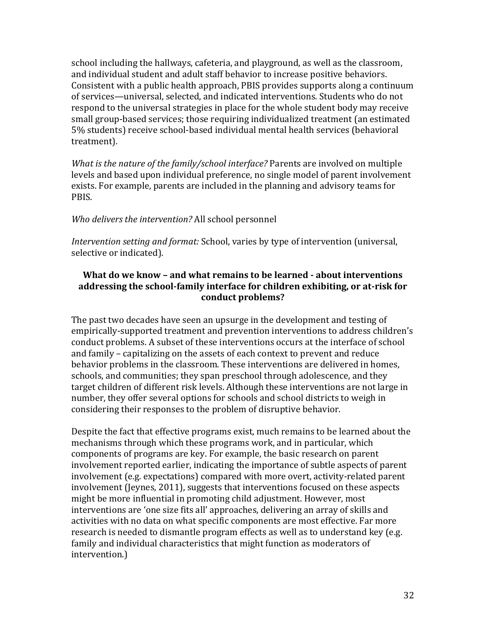school including the hallways, cafeteria, and playground, as well as the classroom, and individual student and adult staff behavior to increase positive behaviors. Consistent with a public health approach, PBIS provides supports along a continuum of services—universal, selected, and indicated interventions. Students who do not respond to the universal strategies in place for the whole student body may receive small group-based services; those requiring individualized treatment (an estimated 5% students) receive school-based individual mental health services (behavioral treatment).

*What is the nature of the family/school interface?* Parents are involved on multiple levels and based upon individual preference, no single model of parent involvement exists. For example, parents are included in the planning and advisory teams for PBIS.

*Who delivers the intervention?* All school personnel

*Intervention setting and format:* School, varies by type of intervention (universal, selective or indicated).

### **What do we know – and what remains to be learned - about interventions addressing the school-family interface for children exhibiting, or at-risk for conduct problems?**

The past two decades have seen an upsurge in the development and testing of empirically-supported treatment and prevention interventions to address children's conduct problems. A subset of these interventions occurs at the interface of school and family – capitalizing on the assets of each context to prevent and reduce behavior problems in the classroom. These interventions are delivered in homes, schools, and communities; they span preschool through adolescence, and they target children of different risk levels. Although these interventions are not large in number, they offer several options for schools and school districts to weigh in considering their responses to the problem of disruptive behavior.

Despite the fact that effective programs exist, much remains to be learned about the mechanisms through which these programs work, and in particular, which components of programs are key. For example, the basic research on parent involvement reported earlier, indicating the importance of subtle aspects of parent involvement (e.g. expectations) compared with more overt, activity-related parent involvement (Jeynes, 2011), suggests that interventions focused on these aspects might be more influential in promoting child adjustment. However, most interventions are 'one size fits all' approaches, delivering an array of skills and activities with no data on what specific components are most effective. Far more research is needed to dismantle program effects as well as to understand key (e.g. family and individual characteristics that might function as moderators of intervention.)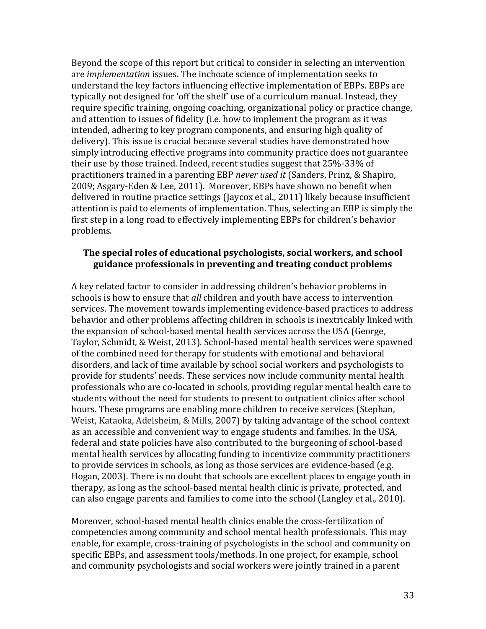Beyond the scope of this report but critical to consider in selecting an intervention are *implementation* issues. The inchoate science of implementation seeks to understand the key factors influencing effective implementation of EBPs. EBPs are typically not designed for 'off the shelf' use of a curriculum manual. Instead, they require specific training, ongoing coaching, organizational policy or practice change, and attention to issues of fidelity (i.e. how to implement the program as it was intended, adhering to key program components, and ensuring high quality of delivery). This issue is crucial because several studies have demonstrated how simply introducing effective programs into community practice does not guarantee their use by those trained. Indeed, recent studies suggest that 25%-33% of practitioners trained in a parenting EBP *never used it* (Sanders, Prinz, & Shapiro, 2009; Asgary-Eden & Lee, 2011). Moreover, EBPs have shown no benefit when delivered in routine practice settings (Jaycox et al., 2011) likely because insufficient attention is paid to elements of implementation. Thus, selecting an EBP is simply the first step in a long road to effectively implementing EBPs for children's behavior problems.

#### **The special roles of educational psychologists, social workers, and school guidance professionals in preventing and treating conduct problems**

A key related factor to consider in addressing children's behavior problems in schools is how to ensure that *all* children and youth have access to intervention services. The movement towards implementing evidence-based practices to address behavior and other problems affecting children in schools is inextricably linked with the expansion of school-based mental health services across the USA (George, Taylor, Schmidt, & Weist, 2013). School-based mental health services were spawned of the combined need for therapy for students with emotional and behavioral disorders, and lack of time available by school social workers and psychologists to provide for students' needs. These services now include community mental health professionals who are co-located in schools, providing regular mental health care to students without the need for students to present to outpatient clinics after school hours. These programs are enabling more children to receive services (Stephan, Weist, Kataoka, Adelsheim, & Mills, 2007) by taking advantage of the school context as an accessible and convenient way to engage students and families. In the USA, federal and state policies have also contributed to the burgeoning of school-based mental health services by allocating funding to incentivize community practitioners to provide services in schools, as long as those services are evidence-based (e.g. Hogan, 2003). There is no doubt that schools are excellent places to engage youth in therapy, as long as the school-based mental health clinic is private, protected, and can also engage parents and families to come into the school (Langley et al., 2010).

Moreover, school-based mental health clinics enable the cross-fertilization of competencies among community and school mental health professionals. This may enable, for example, cross-training of psychologists in the school and community on specific EBPs, and assessment tools/methods. In one project, for example, school and community psychologists and social workers were jointly trained in a parent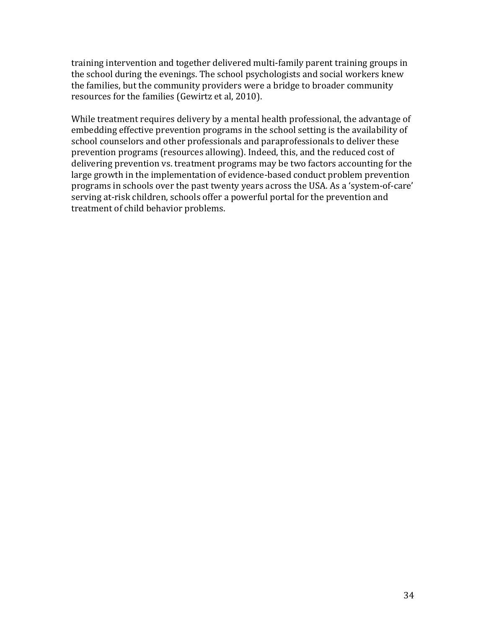training intervention and together delivered multi-family parent training groups in the school during the evenings. The school psychologists and social workers knew the families, but the community providers were a bridge to broader community resources for the families (Gewirtz et al, 2010).

While treatment requires delivery by a mental health professional, the advantage of embedding effective prevention programs in the school setting is the availability of school counselors and other professionals and paraprofessionals to deliver these prevention programs (resources allowing). Indeed, this, and the reduced cost of delivering prevention vs. treatment programs may be two factors accounting for the large growth in the implementation of evidence-based conduct problem prevention programs in schools over the past twenty years across the USA. As a 'system-of-care' serving at-risk children, schools offer a powerful portal for the prevention and treatment of child behavior problems.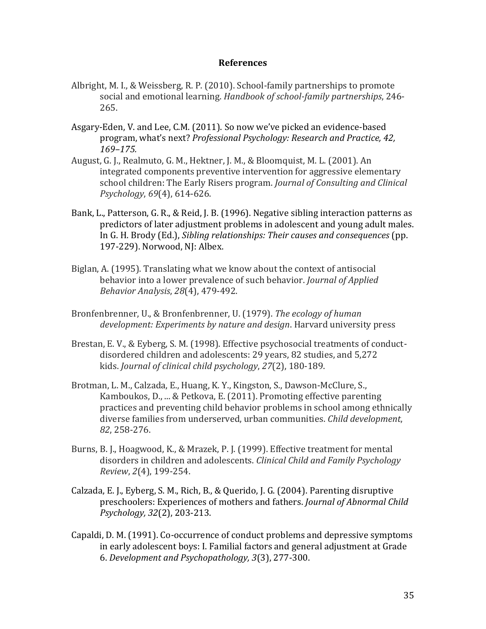#### **References**

- Albright, M. I., & Weissberg, R. P. (2010). School-family partnerships to promote social and emotional learning. *Handbook of school-family partnerships*, 246- 265.
- Asgary-Eden, V. and Lee, C.M. (2011). So now we've picked an evidence-based program, what's next? *Professional Psychology: Research and Practice, 42, 169–175.*
- August, G. J., Realmuto, G. M., Hektner, J. M., & Bloomquist, M. L. (2001). An integrated components preventive intervention for aggressive elementary school children: The Early Risers program. *Journal of Consulting and Clinical Psychology*, *69*(4), 614-626.
- Bank, L., Patterson, G. R., & Reid, J. B. (1996). Negative sibling interaction patterns as predictors of later adjustment problems in adolescent and young adult males. In G. H. Brody (Ed.), *Sibling relationships: Their causes and consequences* (pp. 197-229). Norwood, NJ: Albex.
- Biglan, A. (1995). Translating what we know about the context of antisocial behavior into a lower prevalence of such behavior. *Journal of Applied Behavior Analysis*, *28*(4), 479-492.
- Bronfenbrenner, U., & Bronfenbrenner, U. (1979). *The ecology of human development: Experiments by nature and design*. Harvard university press
- Brestan, E. V., & Eyberg, S. M. (1998). Effective psychosocial treatments of conductdisordered children and adolescents: 29 years, 82 studies, and 5,272 kids. *Journal of clinical child psychology*, *27*(2), 180-189.
- Brotman, L. M., Calzada, E., Huang, K. Y., Kingston, S., Dawson‐McClure, S., Kamboukos, D., ... & Petkova, E. (2011). Promoting effective parenting practices and preventing child behavior problems in school among ethnically diverse families from underserved, urban communities. *Child development*, *82*, 258-276.
- Burns, B. J., Hoagwood, K., & Mrazek, P. J. (1999). Effective treatment for mental disorders in children and adolescents. *Clinical Child and Family Psychology Review*, *2*(4), 199-254.
- Calzada, E. J., Eyberg, S. M., Rich, B., & Querido, J. G. (2004). Parenting disruptive preschoolers: Experiences of mothers and fathers. *Journal of Abnormal Child Psychology, 32*(2), 203-213.
- Capaldi, D. M. (1991). Co-occurrence of conduct problems and depressive symptoms in early adolescent boys: I. Familial factors and general adjustment at Grade 6. *Development and Psychopathology, 3*(3), 277-300.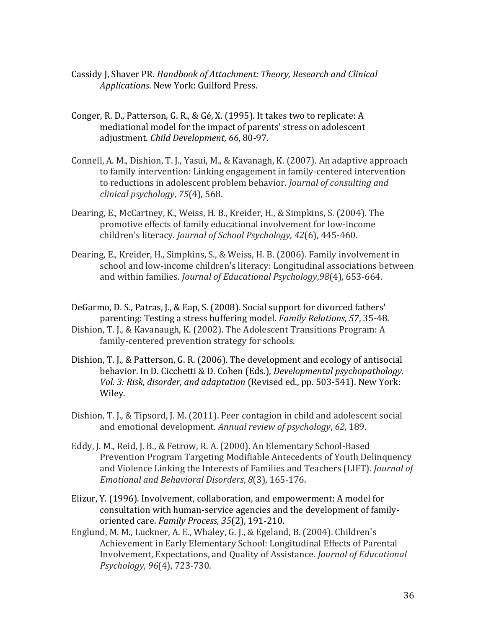- Cassidy J, Shaver PR. *Handbook of Attachment: Theory, Research and Clinical Applications*. New York: Guilford Press.
- Conger, R. D., Patterson, G. R., & Gé, X. (1995). It takes two to replicate: A mediational model for the impact of parents' stress on adolescent adjustment. *Child Development, 66*, 80-97.
- Connell, A. M., Dishion, T. J., Yasui, M., & Kavanagh, K. (2007). An adaptive approach to family intervention: Linking engagement in family-centered intervention to reductions in adolescent problem behavior. *Journal of consulting and clinical psychology*, *75*(4), 568.
- Dearing, E., McCartney, K., Weiss, H. B., Kreider, H., & Simpkins, S. (2004). The promotive effects of family educational involvement for low-income children's literacy. *Journal of School Psychology*, *42*(6), 445-460.
- Dearing, E., Kreider, H., Simpkins, S., & Weiss, H. B. (2006). Family involvement in school and low-income children's literacy: Longitudinal associations between and within families. *Journal of Educational Psychology*,*98*(4), 653-664.
- DeGarmo, D. S., Patras, J., & Eap, S. (2008). Social support for divorced fathers' parenting: Testing a stress buffering model. *Family Relations, 57*, 35-48.
- Dishion, T. J., & Kavanaugh, K. (2002). The Adolescent Transitions Program: A family-centered prevention strategy for schools.
- Dishion, T. J., & Patterson, G. R. (2006). The development and ecology of antisocial behavior. In D. Cicchetti & D. Cohen (Eds.), *Developmental psychopathology. Vol. 3: Risk, disorder, and adaptation* (Revised ed., pp. 503-541). New York: Wiley.
- Dishion, T. J., & Tipsord, J. M. (2011). Peer contagion in child and adolescent social and emotional development. *Annual review of psychology*, *62*, 189.
- Eddy, J. M., Reid, J. B., & Fetrow, R. A. (2000). An Elementary School-Based Prevention Program Targeting Modifiable Antecedents of Youth Delinquency and Violence Linking the Interests of Families and Teachers (LIFT). *Journal of Emotional and Behavioral Disorders*, *8*(3), 165-176.
- Elizur, Y. (1996). Involvement, collaboration, and empowerment: A model for consultation with human-service agencies and the development of familyoriented care. *Family Process, 35*(2), 191-210.
- Englund, M. M., Luckner, A. E., Whaley, G. J., & Egeland, B. (2004). Children's Achievement in Early Elementary School: Longitudinal Effects of Parental Involvement, Expectations, and Quality of Assistance. *Journal of Educational Psychology*, *96*(4), 723-730.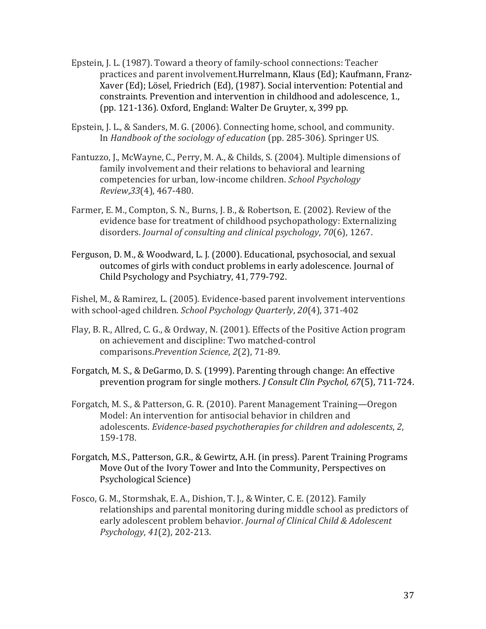- Epstein, J. L. (1987). Toward a theory of family-school connections: Teacher practices and parent involvement.Hurrelmann, Klaus (Ed); Kaufmann, Franz-Xaver (Ed); Lösel, Friedrich (Ed), (1987). Social intervention: Potential and constraints. Prevention and intervention in childhood and adolescence, 1., (pp. 121-136). Oxford, England: Walter De Gruyter, x, 399 pp.
- Epstein, J. L., & Sanders, M. G. (2006). Connecting home, school, and community. In *Handbook of the sociology of education* (pp. 285-306). Springer US.
- Fantuzzo, J., McWayne, C., Perry, M. A., & Childs, S. (2004). Multiple dimensions of family involvement and their relations to behavioral and learning competencies for urban, low-income children. *School Psychology Review*,*33*(4), 467-480.
- Farmer, E. M., Compton, S. N., Burns, J. B., & Robertson, E. (2002). Review of the evidence base for treatment of childhood psychopathology: Externalizing disorders. *Journal of consulting and clinical psychology*, *70*(6), 1267.
- Ferguson, D. M., & Woodward, L. J. (2000). Educational, psychosocial, and sexual outcomes of girls with conduct problems in early adolescence. Journal of Child Psychology and Psychiatry, 41, 779-792.

Fishel, M., & Ramirez, L. (2005). Evidence-based parent involvement interventions with school-aged children. *School Psychology Quarterly*, *20*(4), 371-402

- Flay, B. R., Allred, C. G., & Ordway, N. (2001). Effects of the Positive Action program on achievement and discipline: Two matched-control comparisons.*Prevention Science*, *2*(2), 71-89.
- Forgatch, M. S., & DeGarmo, D. S. (1999). Parenting through change: An effective prevention program for single mothers. *J Consult Clin Psychol, 67*(5), 711-724.
- Forgatch, M. S., & Patterson, G. R. (2010). Parent Management Training—Oregon Model: An intervention for antisocial behavior in children and adolescents. *Evidence-based psychotherapies for children and adolescents*, *2*, 159-178.
- Forgatch, M.S., Patterson, G.R., & Gewirtz, A.H. (in press). Parent Training Programs Move Out of the Ivory Tower and Into the Community, Perspectives on Psychological Science)
- Fosco, G. M., Stormshak, E. A., Dishion, T. J., & Winter, C. E. (2012). Family relationships and parental monitoring during middle school as predictors of early adolescent problem behavior. *Journal of Clinical Child & Adolescent Psychology*, *41*(2), 202-213.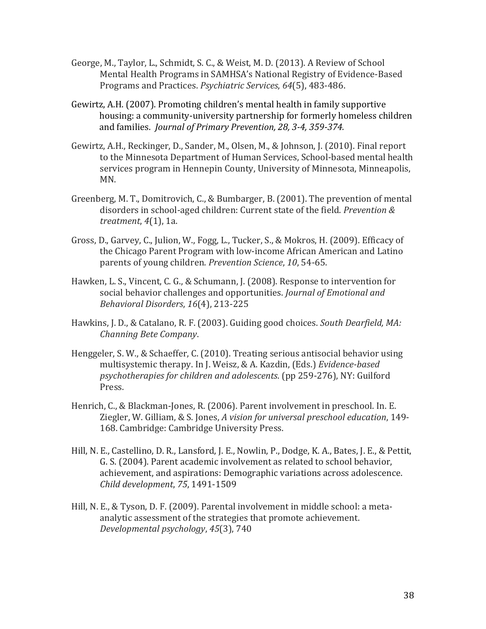- George, M., Taylor, L., Schmidt, S. C., & Weist, M. D. (2013). A Review of School Mental Health Programs in SAMHSA's National Registry of Evidence-Based Programs and Practices. *Psychiatric Services*, *64*(5), 483-486.
- Gewirtz, A.H. (2007). Promoting children's mental health in family supportive housing: a community-university partnership for formerly homeless children and families. *Journal of Primary Prevention, 28, 3-4, 359-374.*
- Gewirtz, A.H., Reckinger, D., Sander, M., Olsen, M., & Johnson, J. (2010). Final report to the Minnesota Department of Human Services, School-based mental health services program in Hennepin County, University of Minnesota, Minneapolis, MN.
- Greenberg, M. T., Domitrovich, C., & Bumbarger, B. (2001). The prevention of mental disorders in school-aged children: Current state of the field. *Prevention & treatment*, *4*(1), 1a.
- Gross, D., Garvey, C., Julion, W., Fogg, L., Tucker, S., & Mokros, H. (2009). Efficacy of the Chicago Parent Program with low-income African American and Latino parents of young children. *Prevention Science*, *10*, 54-65.
- Hawken, L. S., Vincent, C. G., & Schumann, J. (2008). Response to intervention for social behavior challenges and opportunities. *Journal of Emotional and Behavioral Disorders*, *16*(4), 213-225
- Hawkins, J. D., & Catalano, R. F. (2003). Guiding good choices. *South Dearfield, MA: Channing Bete Company*.
- Henggeler, S. W., & Schaeffer, C. (2010). Treating serious antisocial behavior using multisystemic therapy. In J. Weisz, & A. Kazdin, (Eds.) *Evidence-based psychotherapies for children and adolescents*. (pp 259-276), NY: Guilford Press.
- Henrich, C., & Blackman-Jones, R. (2006). Parent involvement in preschool. In. E. Ziegler, W. Gilliam, & S. Jones, *A vision for universal preschool education*, 149- 168. Cambridge: Cambridge University Press.
- Hill, N. E., Castellino, D. R., Lansford, J. E., Nowlin, P., Dodge, K. A., Bates, J. E., & Pettit, G. S. (2004). Parent academic involvement as related to school behavior, achievement, and aspirations: Demographic variations across adolescence. *Child development*, *75*, 1491-1509
- Hill, N. E., & Tyson, D. F. (2009). Parental involvement in middle school: a metaanalytic assessment of the strategies that promote achievement. *Developmental psychology*, *45*(3), 740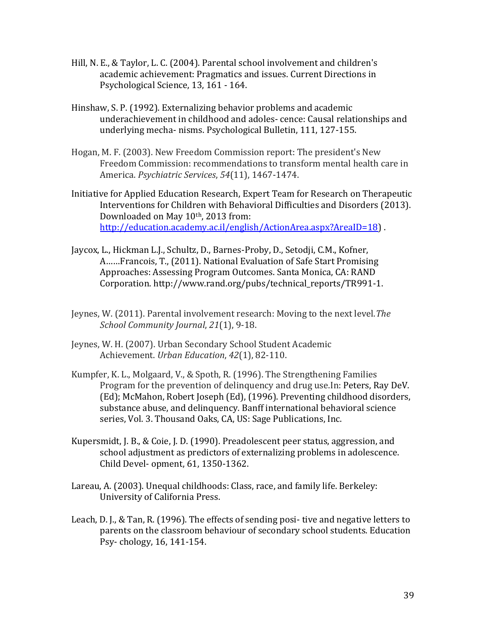- Hill, N. E., & Taylor, L. C. (2004). Parental school involvement and children's academic achievement: Pragmatics and issues. Current Directions in Psychological Science, 13, 161 - 164.
- Hinshaw, S. P. (1992). Externalizing behavior problems and academic underachievement in childhood and adoles- cence: Causal relationships and underlying mecha- nisms. Psychological Bulletin, 111, 127-155.
- Hogan, M. F. (2003). New Freedom Commission report: The president's New Freedom Commission: recommendations to transform mental health care in America. *Psychiatric Services*, *54*(11), 1467-1474.
- Initiative for Applied Education Research, Expert Team for Research on Therapeutic Interventions for Children with Behavioral Difficulties and Disorders (2013). Downloaded on May 10<sup>th</sup>, 2013 from: [http://education.academy.ac.il/english/ActionArea.aspx?AreaID=18\)](http://education.academy.ac.il/english/ActionArea.aspx?AreaID=18) .
- Jaycox, L., Hickman L.J., Schultz, D., Barnes-Proby, D., Setodji, C.M., Kofner, A……Francois, T., (2011). National Evaluation of Safe Start Promising Approaches: Assessing Program Outcomes. Santa Monica, CA: RAND Corporation. http://www.rand.org/pubs/technical\_reports/TR991-1.
- Jeynes, W. (2011). Parental involvement research: Moving to the next level.*The School Community Journal*, *21*(1), 9-18.
- Jeynes, W. H. (2007). Urban Secondary School Student Academic Achievement. *Urban Education*, *42*(1), 82-110.
- Kumpfer, K. L., Molgaard, V., & Spoth, R. (1996). The Strengthening Families Program for the prevention of delinquency and drug use.In: Peters, Ray DeV. (Ed); McMahon, Robert Joseph (Ed), (1996). Preventing childhood disorders, substance abuse, and delinquency. Banff international behavioral science series, Vol. 3. Thousand Oaks, CA, US: Sage Publications, Inc.
- Kupersmidt, J. B., & Coie, J. D. (1990). Preadolescent peer status, aggression, and school adjustment as predictors of externalizing problems in adolescence. Child Devel- opment, 61, 1350-1362.
- Lareau, A. (2003). Unequal childhoods: Class, race, and family life. Berkeley: University of California Press.
- Leach, D. J., & Tan, R. (1996). The effects of sending posi- tive and negative letters to parents on the classroom behaviour of secondary school students. Education Psy- chology, 16, 141-154.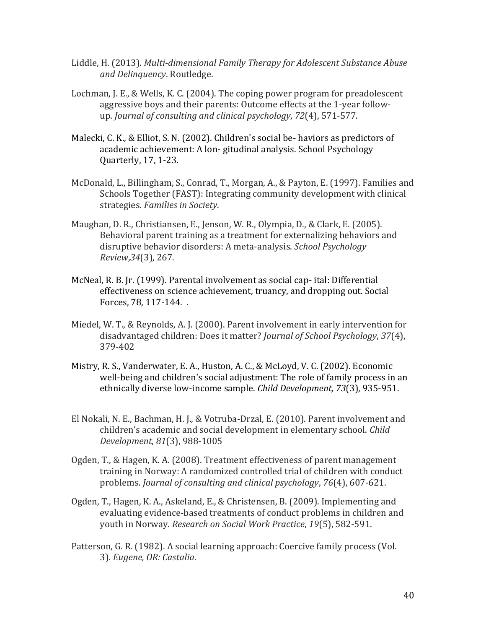- Liddle, H. (2013). *Multi-dimensional Family Therapy for Adolescent Substance Abuse and Delinquency*. Routledge.
- Lochman, J. E., & Wells, K. C. (2004). The coping power program for preadolescent aggressive boys and their parents: Outcome effects at the 1-year followup. *Journal of consulting and clinical psychology*, *72*(4), 571-577.
- Malecki, C. K., & Elliot, S. N. (2002). Children's social be- haviors as predictors of academic achievement: A lon- gitudinal analysis. School Psychology Quarterly, 17, 1-23.
- McDonald, L., Billingham, S., Conrad, T., Morgan, A., & Payton, E. (1997). Families and Schools Together (FAST): Integrating community development with clinical strategies. *Families in Society*.
- Maughan, D. R., Christiansen, E., Jenson, W. R., Olympia, D., & Clark, E. (2005). Behavioral parent training as a treatment for externalizing behaviors and disruptive behavior disorders: A meta-analysis. *School Psychology Review*,*34*(3), 267.
- McNeal, R. B. Jr. (1999). Parental involvement as social cap- ital: Differential effectiveness on science achievement, truancy, and dropping out. Social Forces, 78, 117-144. .
- Miedel, W. T., & Reynolds, A. J. (2000). Parent involvement in early intervention for disadvantaged children: Does it matter? *Journal of School Psychology*, *37*(4), 379-402
- Mistry, R. S., Vanderwater, E. A., Huston, A. C., & McLoyd, V. C. (2002). Economic well-being and children's social adjustment: The role of family process in an ethnically diverse low-income sample. *Child Development, 73*(3), 935-951.
- El Nokali, N. E., Bachman, H. J., & Votruba‐Drzal, E. (2010). Parent involvement and children's academic and social development in elementary school. *Child Development*, *81*(3), 988-1005
- Ogden, T., & Hagen, K. A. (2008). Treatment effectiveness of parent management training in Norway: A randomized controlled trial of children with conduct problems. *Journal of consulting and clinical psychology*, *76*(4), 607-621.
- Ogden, T., Hagen, K. A., Askeland, E., & Christensen, B. (2009). Implementing and evaluating evidence-based treatments of conduct problems in children and youth in Norway. *Research on Social Work Practice*, *19*(5), 582-591.
- Patterson, G. R. (1982). A social learning approach: Coercive family process (Vol. 3). *Eugene, OR: Castalia*.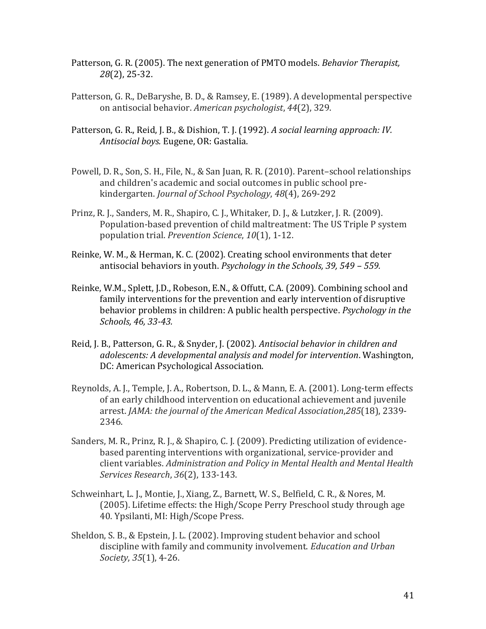- Patterson, G. R. (2005). The next generation of PMTO models. *Behavior Therapist, 28*(2), 25-32.
- Patterson, G. R., DeBaryshe, B. D., & Ramsey, E. (1989). A developmental perspective on antisocial behavior. *American psychologist*, *44*(2), 329.
- Patterson, G. R., Reid, J. B., & Dishion, T. J. (1992). *A social learning approach: IV. Antisocial boys.* Eugene, OR: Gastalia.
- Powell, D. R., Son, S. H., File, N., & San Juan, R. R. (2010). Parent–school relationships and children's academic and social outcomes in public school prekindergarten. *Journal of School Psychology*, *48*(4), 269-292
- Prinz, R. J., Sanders, M. R., Shapiro, C. J., Whitaker, D. J., & Lutzker, J. R. (2009). Population-based prevention of child maltreatment: The US Triple P system population trial. *Prevention Science*, *10*(1), 1-12.
- Reinke, W. M., & Herman, K. C. (2002). Creating school environments that deter antisocial behaviors in youth. *Psychology in the Schools, 39, 549 – 559.*
- Reinke, W.M., Splett, J.D., Robeson, E.N., & Offutt, C.A. (2009). Combining school and family interventions for the prevention and early intervention of disruptive behavior problems in children: A public health perspective. *Psychology in the Schools, 46, 33-43.*
- Reid, J. B., Patterson, G. R., & Snyder, J. (2002). *Antisocial behavior in children and adolescents: A developmental analysis and model for intervention*. Washington, DC: American Psychological Association.
- Reynolds, A. J., Temple, J. A., Robertson, D. L., & Mann, E. A. (2001). Long-term effects of an early childhood intervention on educational achievement and juvenile arrest. *JAMA: the journal of the American Medical Association*,*285*(18), 2339- 2346.
- Sanders, M. R., Prinz, R. J., & Shapiro, C. J. (2009). Predicting utilization of evidencebased parenting interventions with organizational, service-provider and client variables. *Administration and Policy in Mental Health and Mental Health Services Research*, *36*(2), 133-143.
- Schweinhart, L. J., Montie, J., Xiang, Z., Barnett, W. S., Belfield, C. R., & Nores, M. (2005). Lifetime effects: the High/Scope Perry Preschool study through age 40. Ypsilanti, MI: High/Scope Press.
- Sheldon, S. B., & Epstein, J. L. (2002). Improving student behavior and school discipline with family and community involvement. *Education and Urban Society*, *35*(1), 4-26.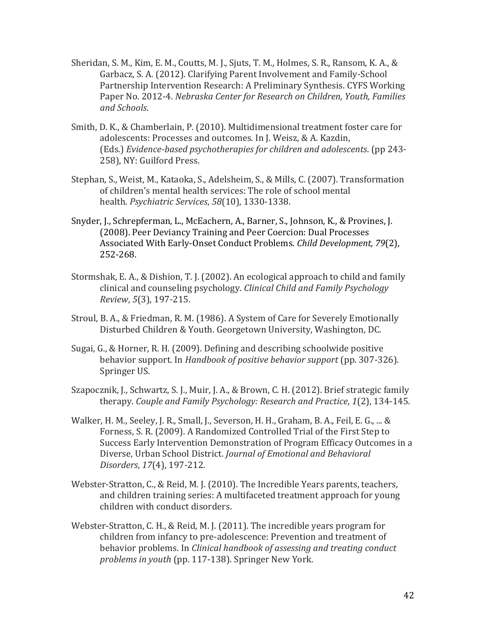- Sheridan, S. M., Kim, E. M., Coutts, M. J., Sjuts, T. M., Holmes, S. R., Ransom, K. A., & Garbacz, S. A. (2012). Clarifying Parent Involvement and Family-School Partnership Intervention Research: A Preliminary Synthesis. CYFS Working Paper No. 2012-4. *Nebraska Center for Research on Children, Youth, Families and Schools*.
- Smith, D. K., & Chamberlain, P. (2010). Multidimensional treatment foster care for adolescents: Processes and outcomes. In J. Weisz, & A. Kazdin, (Eds.) *Evidence-based psychotherapies for children and adolescents*. (pp 243- 258), NY: Guilford Press.
- Stephan, S., Weist, M., Kataoka, S., Adelsheim, S., & Mills, C. (2007). Transformation of children's mental health services: The role of school mental health. *Psychiatric Services*, *58*(10), 1330-1338.
- Snyder, J., Schrepferman, L., McEachern, A., Barner, S., Johnson, K., & Provines, J. (2008). Peer Deviancy Training and Peer Coercion: Dual Processes Associated With Early-Onset Conduct Problems. *Child Development, 79*(2), 252-268.
- Stormshak, E. A., & Dishion, T. J. (2002). An ecological approach to child and family clinical and counseling psychology. *Clinical Child and Family Psychology Review*, *5*(3), 197-215.
- Stroul, B. A., & Friedman, R. M. (1986). A System of Care for Severely Emotionally Disturbed Children & Youth. Georgetown University, Washington, DC.
- Sugai, G., & Horner, R. H. (2009). Defining and describing schoolwide positive behavior support. In *Handbook of positive behavior support* (pp. 307-326). Springer US.
- Szapocznik, J., Schwartz, S. J., Muir, J. A., & Brown, C. H. (2012). Brief strategic family therapy. *Couple and Family Psychology: Research and Practice*, *1*(2), 134-145.
- Walker, H. M., Seeley, J. R., Small, J., Severson, H. H., Graham, B. A., Feil, E. G., ... & Forness, S. R. (2009). A Randomized Controlled Trial of the First Step to Success Early Intervention Demonstration of Program Efficacy Outcomes in a Diverse, Urban School District. *Journal of Emotional and Behavioral Disorders*, *17*(4), 197-212.
- Webster-Stratton, C., & Reid, M. J. (2010). The Incredible Years parents, teachers, and children training series: A multifaceted treatment approach for young children with conduct disorders.
- Webster-Stratton, C. H., & Reid, M. J. (2011). The incredible years program for children from infancy to pre-adolescence: Prevention and treatment of behavior problems. In *Clinical handbook of assessing and treating conduct problems in youth* (pp. 117-138). Springer New York.